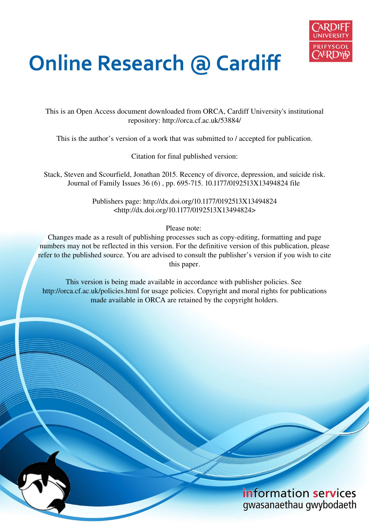

# **Online Research @ Cardiff**

This is an Open Access document downloaded from ORCA, Cardiff University's institutional repository: http://orca.cf.ac.uk/53884/

This is the author's version of a work that was submitted to / accepted for publication.

Citation for final published version:

Stack, Steven and Scourfield, Jonathan 2015. Recency of divorce, depression, and suicide risk. Journal of Family Issues 36 (6) , pp. 695-715. 10.1177/0192513X13494824 file

> Publishers page: http://dx.doi.org/10.1177/0192513X13494824 <http://dx.doi.org/10.1177/0192513X13494824>

> > Please note:

Changes made as a result of publishing processes such as copy-editing, formatting and page numbers may not be reflected in this version. For the definitive version of this publication, please refer to the published source. You are advised to consult the publisher's version if you wish to cite this paper.

This version is being made available in accordance with publisher policies. See http://orca.cf.ac.uk/policies.html for usage policies. Copyright and moral rights for publications made available in ORCA are retained by the copyright holders.

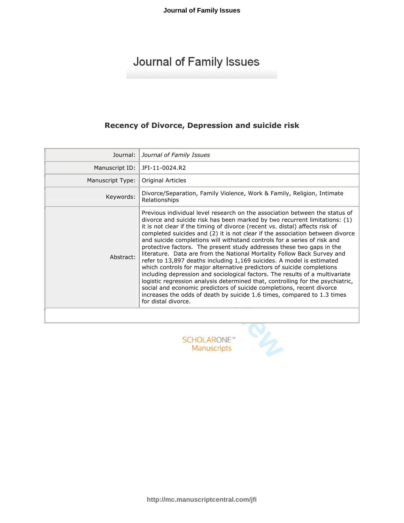# Recency of Divorce, Depression and suicide risk

| Journal:         | Journal of Family Issues                                                                                                                                                                                                                                                                                                                                                                                                                                                                                                                                                                                                                                                                                                                                                                                                                                                                                                                                                                                                                                   |
|------------------|------------------------------------------------------------------------------------------------------------------------------------------------------------------------------------------------------------------------------------------------------------------------------------------------------------------------------------------------------------------------------------------------------------------------------------------------------------------------------------------------------------------------------------------------------------------------------------------------------------------------------------------------------------------------------------------------------------------------------------------------------------------------------------------------------------------------------------------------------------------------------------------------------------------------------------------------------------------------------------------------------------------------------------------------------------|
| Manuscript ID:   | JFI-11-0024.R2                                                                                                                                                                                                                                                                                                                                                                                                                                                                                                                                                                                                                                                                                                                                                                                                                                                                                                                                                                                                                                             |
| Manuscript Type: | <b>Original Articles</b>                                                                                                                                                                                                                                                                                                                                                                                                                                                                                                                                                                                                                                                                                                                                                                                                                                                                                                                                                                                                                                   |
| Keywords:        | Divorce/Separation, Family Violence, Work & Family, Religion, Intimate<br>Relationships                                                                                                                                                                                                                                                                                                                                                                                                                                                                                                                                                                                                                                                                                                                                                                                                                                                                                                                                                                    |
| Abstract:        | Previous individual level research on the association between the status of<br>divorce and suicide risk has been marked by two recurrent limitations: (1)<br>it is not clear if the timing of divorce (recent vs. distal) affects risk of<br>completed suicides and (2) it is not clear if the association between divorce<br>and suicide completions will withstand controls for a series of risk and<br>protective factors. The present study addresses these two gaps in the<br>literature. Data are from the National Mortality Follow Back Survey and<br>refer to 13,897 deaths including 1,169 suicides. A model is estimated<br>which controls for major alternative predictors of suicide completions<br>including depression and sociological factors. The results of a multivariate<br>logistic regression analysis determined that, controlling for the psychiatric,<br>social and economic predictors of suicide completions, recent divorce<br>increases the odds of death by suicide 1.6 times, compared to 1.3 times<br>for distal divorce. |
|                  |                                                                                                                                                                                                                                                                                                                                                                                                                                                                                                                                                                                                                                                                                                                                                                                                                                                                                                                                                                                                                                                            |
|                  | <b>SCHOLARONE</b> '<br>Manuscripts                                                                                                                                                                                                                                                                                                                                                                                                                                                                                                                                                                                                                                                                                                                                                                                                                                                                                                                                                                                                                         |

http://mc.manuscriptcentral.com/jfi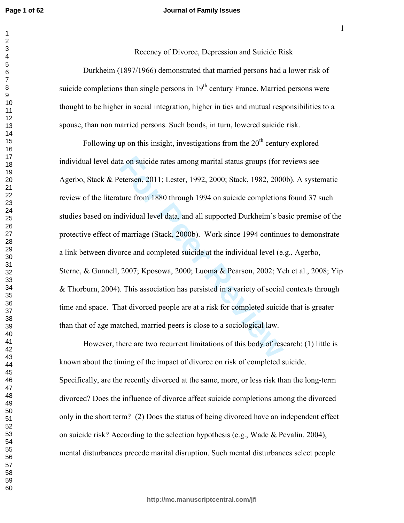#### **Journal of Family Issues**

Recency of Divorce, Depression and Suicide Risk

-

Durkheim (1897/1966) demonstrated that married persons had a lower risk of suicide completions than single persons in  $19<sup>th</sup>$  century France. Married persons were thought to be higher in social integration, higher in ties and mutual responsibilities to a spouse, than non married persons. Such bonds, in turn, lowered suicide risk.

ta on suicide rates among marital status groups (for r<br>etersen, 2011; Lester, 1992, 2000; Stack, 1982, 2000<br>ture from 1880 through 1994 on suicide completions<br>dividual level data, and all supported Durkheim's ba<br>imarriage Following up on this insight, investigations from the  $20<sup>th</sup>$  century explored individual level data on suicide rates among marital status groups (for reviews see Agerbo, Stack & Petersen, 2011; Lester, 1992, 2000; Stack, 1982, 2000b). A systematic review of the literature from 1880 through 1994 on suicide completions found 37 such studies based on individual level data, and all supported Durkheim's basic premise of the protective effect of marriage (Stack, 2000b). Work since 1994 continues to demonstrate a link between divorce and completed suicide at the individual level  $(e.g., Agerbo,$ Sterne, & Gunnell, 2007; Kposowa, 2000; Luoma & Pearson, 2002; Yeh et al., 2008; Yip & Thorburn, 2004). This association has persisted in a variety of social contexts through time and space. That divorced people are at a risk for completed suicide that is greater than that of age matched, married peers is close to a sociological law.

However, there are two recurrent limitations of this body of research: (1) little is known about the timing of the impact of divorce on risk of completed suicide. Specifically, are the recently divorced at the same, more, or less risk than the long-term divorced? Does the influence of divorce affect suicide completions among the divorced only in the short term? (2) Does the status of being divorced have an independent effect on suicide risk? According to the selection hypothesis (e.g., Wade  $\&$  Pevalin, 2004), mental disturbances precede marital disruption. Such mental disturbances select people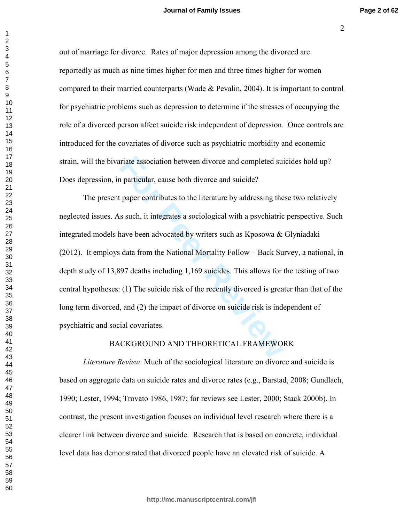'

out of marriage for divorce. Rates of major depression among the divorced are reportedly as much as nine times higher for men and three times higher for women compared to their married counterparts (Wade  $\&$  Pevalin, 2004). It is important to control for psychiatric problems such as depression to determine if the stresses of occupying the role of a divorced person affect suicide risk independent of depression. Once controls are introduced for the covariates of divorce such as psychiatric morbidity and economic strain, will the bivariate association between divorce and completed suicides hold up? Does depression, in particular, cause both divorce and suicide?

Final association between divorce and completed suitary and particular, cause both divorce and suicide?<br>
For Paper contributes to the literature by addressing the s such, it integrates a sociological with a psychiatric nav The present paper contributes to the literature by addressing these two relatively neglected issues. As such, it integrates a sociological with a psychiatric perspective. Such integrated models have been advocated by writers such as Kposowa  $\&$  Glyniadaki (2012). It employs data from the National Mortality Follow - Back Survey, a national, in depth study of  $13,897$  deaths including  $1,169$  suicides. This allows for the testing of two central hypotheses: (1) The suicide risk of the recently divorced is greater than that of the long term divorced, and  $(2)$  the impact of divorce on suicide risk is independent of psychiatric and social covariates.

#### BACKGROUND AND THEORETICAL FRAMEWORK

*Literature Review.* Much of the sociological literature on divorce and suicide is based on aggregate data on suicide rates and divorce rates (e.g., Barstad, 2008; Gundlach, 1990; Lester, 1994; Trovato 1986, 1987; for reviews see Lester, 2000; Stack 2000b). In contrast, the present investigation focuses on individual level research where there is a clearer link between divorce and suicide. Research that is based on concrete, individual level data has demonstrated that divorced people have an elevated risk of suicide. A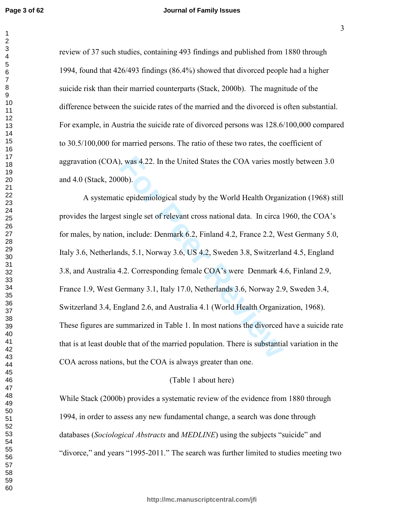review of 37 such studies, containing 493 findings and published from 1880 through 1994, found that 426/493 findings (86.4%) showed that divorced people had a higher suicide risk than their married counterparts (Stack, 2000b). The magnitude of the difference between the suicide rates of the married and the divorced is often substantial. For example, in Austria the suicide rate of divorced persons was 128.6/100,000 compared to 30.5/100,000 for married persons. The ratio of these two rates, the coefficient of aggravation (COA), was 4.22. In the United States the COA varies mostly between 3.0 and 4.0 (Stack, 2000b).

A systematic epidemiological study by the World Health Organization (1968) still provides the largest single set of relevant cross national data. In circa 1960, the COA's for males, by nation, include: Denmark 6.2, Finland 4.2, France 2.2, West Germany 5.0, Italy 3.6, Netherlands, 5.1, Norway 3.6, US 4.2, Sweden 3.8, Switzerland 4.5, England 3.8, and Australia 4.2. Corresponding female COA's were Denmark 4.6, Finland 2.9, France 1.9, West Germany 3.1, Italy 17.0, Netherlands 3.6, Norway 2.9, Sweden 3.4, Switzerland 3.4, England 2.6, and Australia 4.1 (World Health Organization, 1968). These figures are summarized in Table 1. In most nations the divorced have a suicide rate that is at least double that of the married population. There is substantial variation in the COA across nations, but the COA is always greater than one.

#### (Table 1 about here)

While Stack (2000b) provides a systematic review of the evidence from 1880 through 1994, in order to assess any new fundamental change, a search was done through databases (Sociological Abstracts and MEDLINE) using the subjects "suicide" and "divorce," and years "1995-2011." The search was further limited to studies meeting two

 $\overline{3}$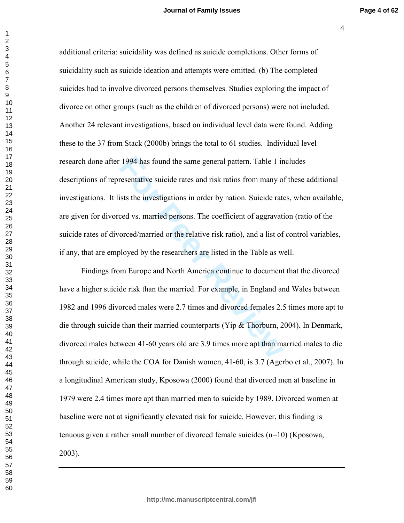/

1994 has found the same general pattern. Table 1 in<br>resentative suicide rates and risk ratios from many of<br>ists the investigations in order by nation. Suicide rate<br>ced vs. married persons. The coefficient of aggravati<br>orc additional criteria: suicidality was defined as suicide completions. Other forms of suicidality such as suicide ideation and attempts were omitted. (b) The completed suicides had to involve divorced persons themselves. Studies exploring the impact of divorce on other groups (such as the children of divorced persons) were not included. Another 24 relevant investigations, based on individual level data were found. Adding these to the 37 from Stack  $(2000b)$  brings the total to 61 studies. Individual level research done after 1994 has found the same general pattern. Table 1 includes descriptions of representative suicide rates and risk ratios from many of these additional investigations. It lists the investigations in order by nation. Suicide rates, when available, are given for divorced vs. married persons. The coefficient of aggravation (ratio of the suicide rates of divorced/married or the relative risk ratio), and a list of control variables, if any, that are employed by the researchers are listed in the Table as well.

Findings from Europe and North America continue to document that the divorced have a higher suicide risk than the married. For example, in England and Wales between 1982 and 1996 divorced males were 2.7 times and divorced females 2.5 times more apt to die through suicide than their married counterparts (Yip & Thorburn, 2004). In Denmark, divorced males between 41-60 years old are 3.9 times more apt than married males to die through suicide, while the COA for Danish women, 41-60, is 3.7 (Agerbo et al., 2007). In a longitudinal American study, Kposowa (2000) found that divorced men at baseline in 1979 were 2.4 times more apt than married men to suicide by 1989. Divorced women at baseline were not at significantly elevated risk for suicide. However, this finding is tenuous given a rather small number of divorced female suicides  $(n=10)$  (Kposowa,  $(2003)$ .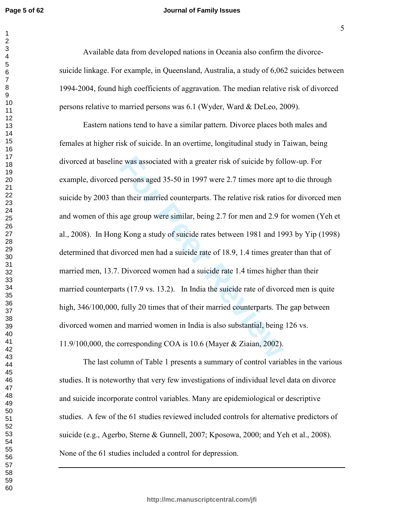#### **Journal of Family Issues**

Available data from developed nations in Oceania also confirm the divorcesuicide linkage. For example, in Queensland, Australia, a study of 6,062 suicides between 1994-2004, found high coefficients of aggravation. The median relative risk of divorced persons relative to married persons was 6.1 (Wyder, Ward & DeLeo, 2009).

e was associated with a greater risk of suicide by fol<br>persons aged 35-50 in 1997 were 2.7 times more apt<br>an their married counterparts. The relative risk ratios<br>age group were similar, being 2.7 for men and 2.9 for<br>g Kong Eastern nations tend to have a similar pattern. Divorce places both males and females at higher risk of suicide. In an overtime, longitudinal study in Taiwan, being divorced at baseline was associated with a greater risk of suicide by follow-up. For example, divorced persons aged 35-50 in 1997 were 2.7 times more apt to die through suicide by 2003 than their married counterparts. The relative risk ratios for divorced men and women of this age group were similar, being 2.7 for men and 2.9 for women (Yeh et al., 2008). In Hong Kong a study of suicide rates between 1981 and 1993 by Yip (1998) determined that divorced men had a suicide rate of 18.9, 1.4 times greater than that of married men, 13.7. Divorced women had a suicide rate 1.4 times higher than their married counterparts  $(17.9 \text{ vs. } 13.2)$ . In India the suicide rate of divorced men is quite high, 346/100,000, fully 20 times that of their married counterparts. The gap between divorced women and married women in India is also substantial, being 126 vs.  $11.9/100,000$ , the corresponding COA is 10.6 (Mayer & Ziaian, 2002).

The last column of Table 1 presents a summary of control variables in the various studies. It is noteworthy that very few investigations of individual level data on divorce and suicide incorporate control variables. Many are epidemiological or descriptive studies. A few of the 61 studies reviewed included controls for alternative predictors of suicide (e.g., Agerbo, Sterne & Gunnell, 2007; Kposowa, 2000; and Yeh et al., 2008). None of the 61 studies included a control for depression.

E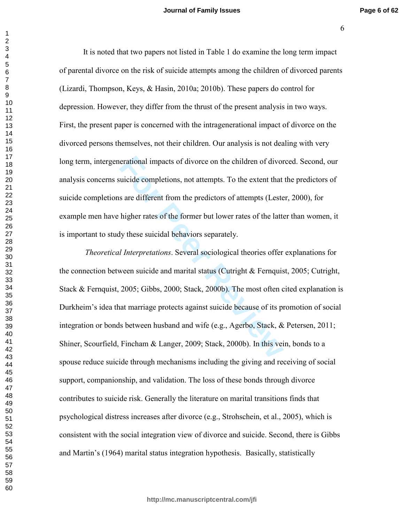It is noted that two papers not listed in Table 1 do examine the long term impact of parental divorce on the risk of suicide attempts among the children of divorced parents (Lizardi, Thompson, Keys, & Hasin, 2010a; 2010b). These papers do control for depression. However, they differ from the thrust of the present analysis in two ways. First, the present paper is concerned with the intragenerational impact of divorce on the divorced persons themselves, not their children. Our analysis is not dealing with very long term, intergenerational impacts of divorce on the children of divorced. Second, our analysis concerns suicide completions, not attempts. To the extent that the predictors of suicide completions are different from the predictors of attempts (Lester, 2000), for example men have higher rates of the former but lower rates of the latter than women, it is important to study these suicidal behaviors separately.

erational impacts of divorce on the children of divor<br>uicide completions, not attempts. To the extent that<br>s are different from the predictors of attempts (Leste<br>higher rates of the former but lower rates of the latte<br>ly t *Theoretical Interpretations.* Several sociological theories offer explanations for the connection between suicide and marital status (Cutright  $\&$  Fernquist, 2005; Cutright, Stack & Fernquist, ; Gibbs,  $2000$ ; Stack,  $2000$ b). The most often cited explanation is Durkheim's idea that marriage protects against suicide because of its promotion of social integration or bonds between husband and wife (e.g., Agerbo, Stack, & Petersen, 2011; Shiner, Scourfield, Fincham & Langer, 2009; Stack, 2000b). In this vein, bonds to a spouse reduce suicide through mechanisms including the giving and receiving of social support, companionship, and validation. The loss of these bonds through divorce contributes to suicide risk. Generally the literature on marital transitions finds that psychological distress increases after divorce (e.g., Strohschein, et al., 2005), which is consistent with the social integration view of divorce and suicide. Second, there is Gibbs and Martin's (1964) marital status integration hypothesis. Basically, statistically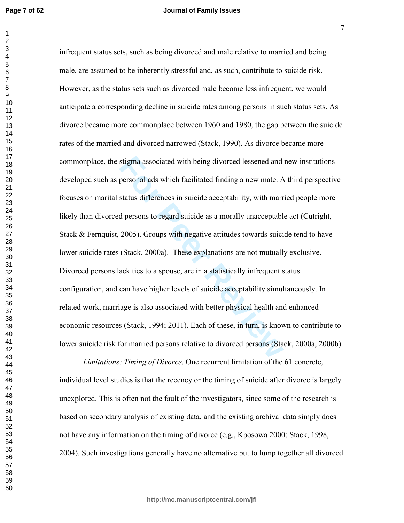**Page 7 of 62**

#### **Journal of Family Issues**

stigma associated with being divorced lessened and<br>personal ads which facilitated finding a new mate. A<br>status differences in suicide acceptability, with marr<br>d persons to regard suicide as a morally unacceptabl<br>2005). Gro infrequent status sets, such as being divorced and male relative to married and being male, are assumed to be inherently stressful and, as such, contribute to suicide risk. However, as the status sets such as divorced male become less infrequent, we would anticipate a corresponding decline in suicide rates among persons in such status sets. As divorce became more commonplace between 1960 and 1980, the gap between the suicide rates of the married and divorced narrowed (Stack, 1990). As divorce became more commonplace, the stigma associated with being divorced lessened and new institutions developed such as personal ads which facilitated finding a new mate. A third perspective focuses on marital status differences in suicide acceptability, with married people more likely than divorced persons to regard suicide as a morally unacceptable act (Cutright, Stack  $&$  Fernquist, 2005). Groups with negative attitudes towards suicide tend to have lower suicide rates (Stack, 2000a). These explanations are not mutually exclusive. Divorced persons lack ties to a spouse, are in a statistically infrequent status configuration, and can have higher levels of suicide acceptability simultaneously. In related work, marriage is also associated with better physical health and enhanced economic resources (Stack, 1994; 2011). Each of these, in turn, is known to contribute to lower suicide risk for married persons relative to divorced persons (Stack, 2000a, 2000b).

*Limitations: Timing of Divorce.* One recurrent limitation of the 61 concrete, individual level studies is that the recency or the timing of suicide after divorce is largely unexplored. This is often not the fault of the investigators, since some of the research is based on secondary analysis of existing data, and the existing archival data simply does not have any information on the timing of divorce (e.g., Kposowa 2000; Stack, 1998, 2004). Such investigations generally have no alternative but to lump together all divorced

 $\overline{7}$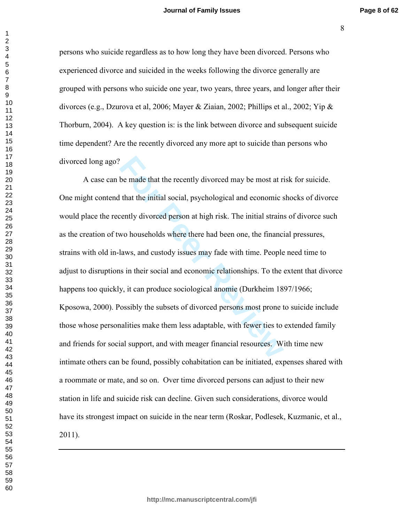persons who suicide regardless as to how long they have been divorced. Persons who experienced divorce and suicided in the weeks following the divorce generally are grouped with persons who suicide one year, two years, three years, and longer after their divorces (e.g., Dzurova et al. 2006; Mayer & Ziaian, 2002; Phillips et al., 2002; Yip & Thorburn, 2004). A key question is: is the link between divorce and subsequent suicide time dependent? Are the recently divorced any more apt to suicide than persons who divorced long ago?

A case can be made that the recently divorced may be most at risk for suicide. One might contend that the initial social, psychological and economic shocks of divorce would place the recently divorced person at high risk. The initial strains of divorce such as the creation of two households where there had been one, the financial pressures, strains with old in-laws, and custody issues may fade with time. People need time to adjust to disruptions in their social and economic relationships. To the extent that divorce happens too quickly, it can produce sociological anomie (Durkheim 1897/1966; Kposowa, 2000). Possibly the subsets of divorced persons most prone to suicide include those whose personalities make them less adaptable, with fewer ties to extended family and friends for social support, and with meager financial resources. With time new intimate others can be found, possibly cohabitation can be initiated, expenses shared with a roommate or mate, and so on. Over time divorced persons can adjust to their new station in life and suicide risk can decline. Given such considerations, divorce would have its strongest impact on suicide in the near term (Roskar, Podlesek, Kuzmanic, et al., ).

 $\mathbf{1}$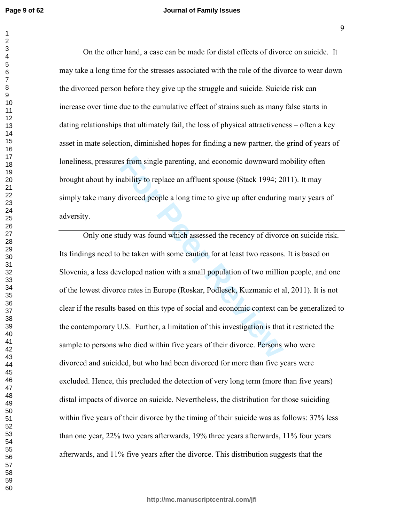#### **Journal of Family Issues**

On the other hand, a case can be made for distal effects of divorce on suicide. It may take a long time for the stresses associated with the role of the divorce to wear down the divorced person before they give up the struggle and suicide. Suicide risk can increase over time due to the cumulative effect of strains such as many false starts in dating relationships that ultimately fail, the loss of physical attractiveness  $-$  often a key asset in mate selection, diminished hopes for finding a new partner, the grind of years of loneliness, pressures from single parenting, and economic downward mobility often brought about by inability to replace an affluent spouse (Stack 1994; 2011). It may simply take many divorced people a long time to give up after enduring many years of adversity.

Example parenting, and economic downward mability to replace an affluent spouse (Stack 1994; 20<br>divorced people a long time to give up after enduring<br>udy was found which assessed the recency of divorce<br>be taken with some c Only one study was found which assessed the recency of divorce on suicide risk. Its findings need to be taken with some caution for at least two reasons. It is based on Slovenia, a less developed nation with a small population of two million people, and one of the lowest divorce rates in Europe (Roskar, Podlesek, Kuzmanic et al, 2011). It is not clear if the results based on this type of social and economic context can be generalized to the contemporary U.S. Further, a limitation of this investigation is that it restricted the sample to persons who died within five years of their divorce. Persons who were divorced and suicided, but who had been divorced for more than five years were excluded. Hence, this precluded the detection of very long term (more than five years) distal impacts of divorce on suicide. Nevertheless, the distribution for those suiciding within five years of their divorce by the timing of their suicide was as follows:  $37\%$  less than one year, 22% two years afterwards, 19% three years afterwards, 11% four years afterwards, and 11% five years after the divorce. This distribution suggests that the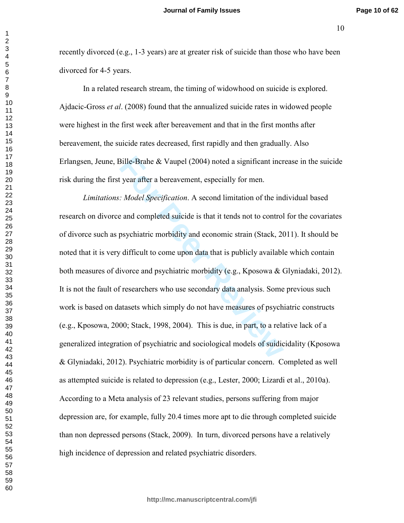-(

recently divorced (e.g., 1-3 years) are at greater risk of suicide than those who have been divorced for 4-5 years.

In a related research stream, the timing of widowhood on suicide is explored. Ajdacic-Gross *et al.* (2008) found that the annualized suicide rates in widowed people were highest in the first week after bereavement and that in the first months after bereavement, the suicide rates decreased, first rapidly and then gradually. Also Erlangsen, Jeune, Bille-Brahe  $& V \text{aupel} (2004)$  noted a significant increase in the suicide risk during the first year after a bereavement, especially for men.

Bille-Brahe & Vaupel (2004) noted a significant incr<br>
Figure 1: Model Specification. A second limitation of the inc<br>
For Peer Reviewent, especially for men.<br>
For Peer Reviewent A second limitation of the inc<br>
and complete *Limitations: Model Specification.* A second limitation of the individual based research on divorce and completed suicide is that it tends not to control for the covariates of divorce such as psychiatric morbidity and economic strain (Stack, 2011). It should be noted that it is very difficult to come upon data that is publicly available which contain both measures of divorce and psychiatric morbidity (e.g., Kposowa & Glyniadaki, 2012). It is not the fault of researchers who use secondary data analysis. Some previous such work is based on datasets which simply do not have measures of psychiatric constructs  $(e.g., Kposowa, 2000; Stack, 1998, 2004)$ . This is due, in part, to a relative lack of a generalized integration of psychiatric and sociological models of suidicidality (Kposowa & Glyniadaki, 2012). Psychiatric morbidity is of particular concern. Completed as well as attempted suicide is related to depression (e.g., Lester, 2000; Lizardi et al., 2010a). According to a Meta analysis of 23 relevant studies, persons suffering from major depression are, for example, fully 20.4 times more apt to die through completed suicide than non depressed persons (Stack, 2009). In turn, divorced persons have a relatively high incidence of depression and related psychiatric disorders.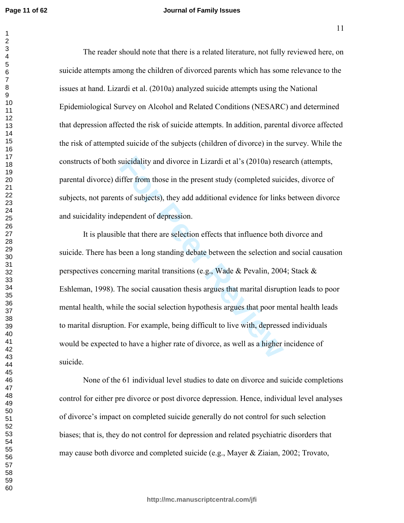#### **Journal of Family Issues**

The reader should note that there is a related literature, not fully reviewed here, on suicide attempts among the children of divorced parents which has some relevance to the issues at hand. Lizardi et al. (2010a) analyzed suicide attempts using the National Epidemiological Survey on Alcohol and Related Conditions (NESARC) and determined that depression affected the risk of suicide attempts. In addition, parental divorce affected the risk of attempted suicide of the subjects (children of divorce) in the survey. While the constructs of both suicidality and divorce in Lizardi et al's (2010a) research (attempts, parental divorce) differ from those in the present study (completed suicides, divorce of subjects, not parents of subjects), they add additional evidence for links between divorce and suicidality independent of depression.

suicidality and divorce in Lizardi et al's (2010a) reservation<br>iffer from those in the present study (completed suicasts of subjects), they add additional evidence for links<br>ependent of depression.<br>le that there are select It is plausible that there are selection effects that influence both divorce and suicide. There has been a long standing debate between the selection and social causation perspectives concerning marital transitions (e.g., Wade & Pevalin, 2004; Stack & Eshleman, 1998). The social causation thesis argues that marital disruption leads to poor mental health, while the social selection hypothesis argues that poor mental health leads to marital disruption. For example, being difficult to live with, depressed individuals would be expected to have a higher rate of divorce, as well as a higher incidence of suicide.

None of the 61 individual level studies to date on divorce and suicide completions control for either pre divorce or post divorce depression. Hence, individual level analyses of divorce's impact on completed suicide generally do not control for such selection biases; that is, they do not control for depression and related psychiatric disorders that may cause both divorce and completed suicide (e.g., Mayer & Ziaian, 2002; Trovato,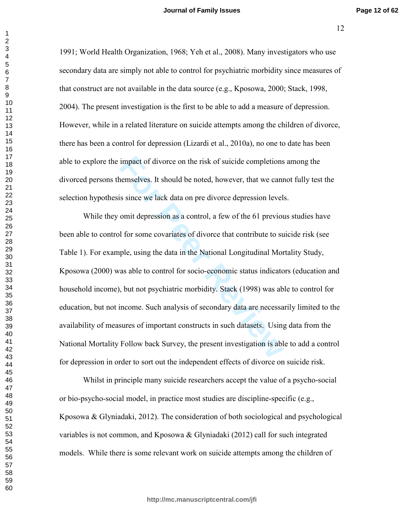<sup>12</sup>

1991; World Health Organization, 1968; Yeh et al., 2008). Many investigators who use secondary data are simply not able to control for psychiatric morbidity since measures of that construct are not available in the data source (e.g., Kposowa, 2000; Stack, 1998, 2004). The present investigation is the first to be able to add a measure of depression. However, while in a related literature on suicide attempts among the children of divorce, there has been a control for depression (Lizardi et al., 2010a), no one to date has been able to explore the impact of divorce on the risk of suicide completions among the divorced persons themselves. It should be noted, however, that we cannot fully test the selection hypothesis since we lack data on pre divorce depression levels.

impact of divorce on the risk of suicide completions<br>temselves. It should be noted, however, that we cant<br>is since we lack data on pre divorce depression level<br>omit depression as a control, a few of the 61 previou<br>of the f While they omit depression as a control, a few of the 61 previous studies have been able to control for some covariates of divorce that contribute to suicide risk (see Table 1). For example, using the data in the National Longitudinal Mortality Study, Kposowa (2000) was able to control for socio-economic status indicators (education and household income), but not psychiatric morbidity. Stack (1998) was able to control for education, but not income. Such analysis of secondary data are necessarily limited to the availability of measures of important constructs in such datasets. Using data from the National Mortality Follow back Survey, the present investigation is able to add a control for depression in order to sort out the independent effects of divorce on suicide risk.

Whilst in principle many suicide researchers accept the value of a psycho-social or bio-psycho-social model, in practice most studies are discipline-specific  $(e.g.,\)$ Kposowa & Glyniadaki, 2012). The consideration of both sociological and psychological variables is not common, and Kposowa & Glyniadaki  $(2012)$  call for such integrated models. While there is some relevant work on suicide attempts among the children of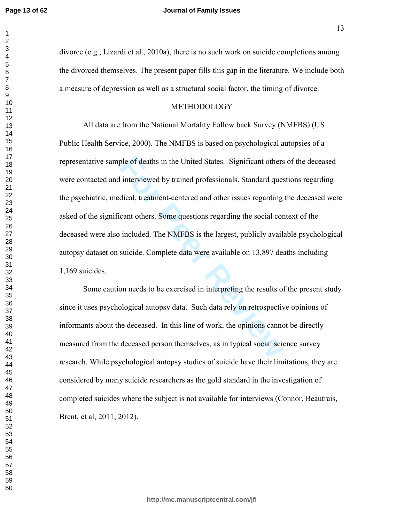#### **Journal of Family Issues**

divorce (e.g., Lizardi et al., 2010a), there is no such work on suicide completions among the divorced themselves. The present paper fills this gap in the literature. We include both a measure of depression as well as a structural social factor, the timing of divorce.

#### METHODOLOGY

ple of deaths in the United States. Significant others<br>interviewed by trained professionals. Standard ques<br>dical, treatment-centered and other issues regarding<br>cant others. Some questions regarding the social cor<br>included. All data are from the National Mortality Follow back Survey (NMFBS) (US Public Health Service, 2000). The NMFBS is based on psychological autopsies of a representative sample of deaths in the United States. Significant others of the deceased were contacted and interviewed by trained professionals. Standard questions regarding the psychiatric, medical, treatment-centered and other issues regarding the deceased were asked of the significant others. Some questions regarding the social context of the deceased were also included. The NMFBS is the largest, publicly available psychological autopsy dataset on suicide. Complete data were available on 13,897 deaths including  $1,169$  suicides.

Some caution needs to be exercised in interpreting the results of the present study since it uses psychological autopsy data. Such data rely on retrospective opinions of informants about the deceased. In this line of work, the opinions cannot be directly measured from the deceased person themselves, as in typical social science survey research. While psychological autopsy studies of suicide have their limitations, they are considered by many suicide researchers as the gold standard in the investigation of completed suicides where the subject is not available for interviews (Connor, Beautrais, Brent, et al, 2011, 2012).

**http://mc.manuscriptcentral.com/jfi**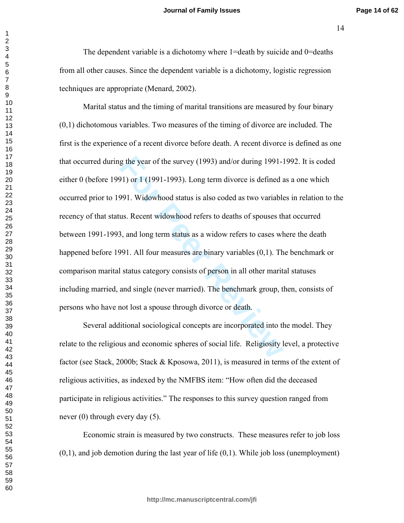The dependent variable is a dichotomy where 1=death by suicide and 0=deaths from all other causes. Since the dependent variable is a dichotomy, logistic regression techniques are appropriate (Menard, 2002).

Marital status and the timing of marital transitions are measured by four binary  $(0,1)$  dichotomous variables. Two measures of the timing of divorce are included. The first is the experience of a recent divorce before death. A recent divorce is defined as one that occurred during the year of the survey (1993) and/or during 1991-1992. It is coded either 0 (before 1991) or 1 (1991-1993). Long term divorce is defined as a one which occurred prior to 1991. Widowhood status is also coded as two variables in relation to the recency of that status. Recent widowhood refers to deaths of spouses that occurred between 1991-1993, and long term status as a widow refers to cases where the death happened before 1991. All four measures are binary variables  $(0,1)$ . The benchmark or comparison marital status category consists of person in all other marital statuses including married, and single (never married). The benchmark group, then, consists of persons who have not lost a spouse through divorce or death.

Several additional sociological concepts are incorporated into the model. They relate to the religious and economic spheres of social life. Religiosity level, a protective factor (see Stack, 2000b; Stack & Kposowa, 2011), is measured in terms of the extent of religious activities, as indexed by the NMFBS item: "How often did the deceased participate in religious activities." The responses to this survey question ranged from never  $(0)$  through every day  $(5)$ .

Economic strain is measured by two constructs. These measures refer to job loss  $(0,1)$ , and job demotion during the last year of life  $(0,1)$ . While job loss (unemployment)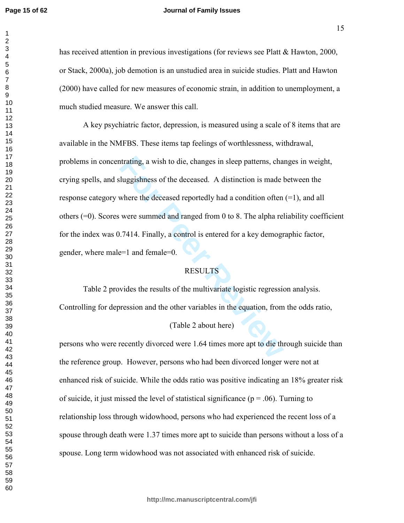#### **Journal of Family Issues**

has received attention in previous investigations (for reviews see Platt  $\&$  Hawton, 2000, or Stack, 2000a), job demotion is an unstudied area in suicide studies. Platt and Hawton (2000) have called for new measures of economic strain, in addition to unemployment, a much studied measure. We answer this call.

ortating, a wish to die, changes in sleep patterns, changes and subsequent in the distinction is made likewhere the deceased reportedly had a condition often were summed and ranged from 0 to 8. The alpha relation often wer A key psychiatric factor, depression, is measured using a scale of 8 items that are available in the NMFBS. These items tap feelings of worthlessness, withdrawal, problems in concentrating, a wish to die, changes in sleep patterns, changes in weight, crying spells, and sluggishness of the deceased. A distinction is made between the response category where the deceased reportedly had a condition often  $(=1)$ , and all others  $(=0)$ . Scores were summed and ranged from 0 to 8. The alpha reliability coefficient for the index was  $0.7414$ . Finally, a control is entered for a key demographic factor, gender, where male=1 and female=0.

# **RESULTS**

Table 2 provides the results of the multivariate logistic regression analysis. Controlling for depression and the other variables in the equation, from the odds ratio,

# (Table 2 about here)

persons who were recently divorced were 1.64 times more apt to die through suicide than the reference group. However, persons who had been divorced longer were not at enhanced risk of suicide. While the odds ratio was positive indicating an 18% greater risk of suicide, it just missed the level of statistical significance ( $p = .06$ ). Turning to relationship loss through widowhood, persons who had experienced the recent loss of a spouse through death were 1.37 times more apt to suicide than persons without a loss of a spouse. Long term widowhood was not associated with enhanced risk of suicide.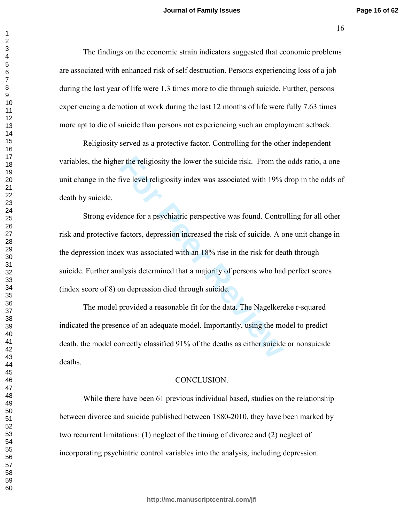The findings on the economic strain indicators suggested that economic problems are associated with enhanced risk of self destruction. Persons experiencing loss of a job during the last year of life were 1.3 times more to die through suicide. Further, persons experiencing a demotion at work during the last 12 months of life were fully 7.63 times more apt to die of suicide than persons not experiencing such an employment setback.

Religiosity served as a protective factor. Controlling for the other independent variables, the higher the religiosity the lower the suicide risk. From the odds ratio, a one unit change in the five level religiosity index was associated with 19% drop in the odds of death by suicide.

For the religiosity the lower the suicide risk. From the<br>five level religiosity index was associated with 19%<br>ence for a psychiatric perspective was found. Contro<br>factors, depression increased the risk of suicide. A c<br>ex w Strong evidence for a psychiatric perspective was found. Controlling for all other risk and protective factors, depression increased the risk of suicide. A one unit change in the depression index was associated with an 18% rise in the risk for death through suicide. Further analysis determined that a majority of persons who had perfect scores (index score of 8) on depression died through suicide.

The model provided a reasonable fit for the data. The Nagelkereke r-squared indicated the presence of an adequate model. Importantly, using the model to predict death, the model correctly classified 91% of the deaths as either suicide or nonsuicide deaths.

#### CONCLUSION.

While there have been 61 previous individual based, studies on the relationship between divorce and suicide published between 1880-2010, they have been marked by two recurrent limitations:  $(1)$  neglect of the timing of divorce and  $(2)$  neglect of incorporating psychiatric control variables into the analysis, including depression.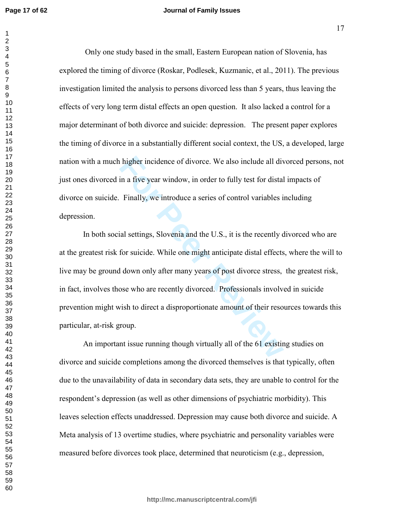$\mathbf{1}$  $\overline{2}$ 

 $\overline{7}$ 

#### **Journal of Family Issues**

Only one study based in the small, Eastern European nation of Slovenia, has explored the timing of divorce (Roskar, Podlesek, Kuzmanic, et al., 2011). The previous investigation limited the analysis to persons divorced less than 5 years, thus leaving the effects of very long term distal effects an open question. It also lacked a control for a major determinant of both divorce and suicide: depression. The present paper explores the timing of divorce in a substantially different social context, the US, a developed, large nation with a much higher incidence of divorce. We also include all divorced persons, not just ones divorced in a five year window, in order to fully test for distal impacts of divorce on suicide. Finally, we introduce a series of control variables including depression.

In both social settings, Slovenia and the U.S., it is the recently divorced who are at the greatest risk for suicide. While one might anticipate distal effects, where the will to live may be ground down only after many years of post divorce stress, the greatest risk, in fact, involves those who are recently divorced. Professionals involved in suicide prevention might wish to direct a disproportionate amount of their resources towards this particular, at-risk group.

An important issue running though virtually all of the 61 existing studies on divorce and suicide completions among the divorced themselves is that typically, often due to the unavailability of data in secondary data sets, they are unable to control for the respondent's depression (as well as other dimensions of psychiatric morbidity). This leaves selection effects unaddressed. Depression may cause both divorce and suicide. A Meta analysis of 13 overtime studies, where psychiatric and personality variables were measured before divorces took place, determined that neuroticism (e.g., depression,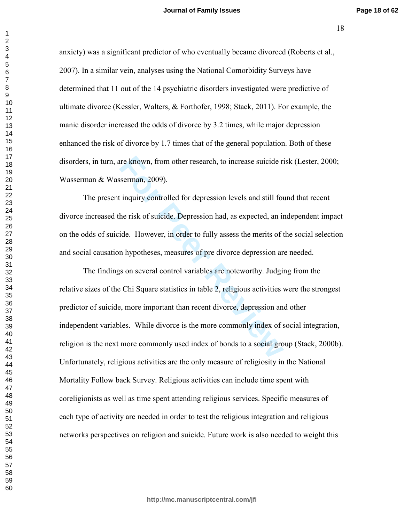anxiety) was a significant predictor of who eventually became divorced (Roberts et al., 2007). In a similar vein, analyses using the National Comorbidity Surveys have determined that 11 out of the 14 psychiatric disorders investigated were predictive of ultimate divorce (Kessler, Walters,  $\&$  Forthofer, 1998; Stack, 2011). For example, the manic disorder increased the odds of divorce by 3.2 times, while major depression enhanced the risk of divorce by 1.7 times that of the general population. Both of these disorders, in turn, are known, from other research, to increase suicide risk (Lester, 2000; Wasserman & Wasserman, 2009).

The present inquiry controlled for depression levels and still found that recent divorce increased the risk of suicide. Depression had, as expected, an independent impact on the odds of suicide. However, in order to fully assess the merits of the social selection and social causation hypotheses, measures of pre divorce depression are needed.

For External, 10 increase suicide rises and still for depression levels and still for the risk of suicide. Depression had, as expected, an in ide. However, in order to fully assess the merits of the risk of suicide. Depres The findings on several control variables are noteworthy. Judging from the relative sizes of the Chi Square statistics in table 2, religious activities were the strongest predictor of suicide, more important than recent divorce, depression and other independent variables. While divorce is the more commonly index of social integration, religion is the next more commonly used index of bonds to a social group (Stack, 2000b). Unfortunately, religious activities are the only measure of religiosity in the National Mortality Follow back Survey. Religious activities can include time spent with coreligionists as well as time spent attending religious services. Specific measures of each type of activity are needed in order to test the religious integration and religious networks perspectives on religion and suicide. Future work is also needed to weight this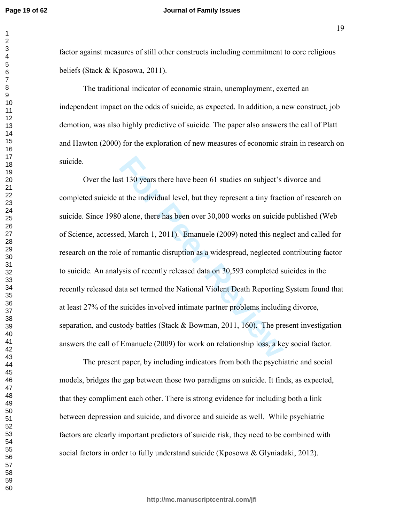#### **Journal of Family Issues**

factor against measures of still other constructs including commitment to core religious beliefs (Stack & Kposowa, 2011).

The traditional indicator of economic strain, unemployment, exerted an independent impact on the odds of suicide, as expected. In addition, a new construct, job demotion, was also highly predictive of suicide. The paper also answers the call of Platt and Hawton (2000) for the exploration of new measures of economic strain in research on suicide.

st 130 years there have been 61 studies on subject's at the individual level, but they represent a tiny fract at the individual level, but they represent a tiny fract at the individual level, but they represent a tiny frac Over the last 130 years there have been 61 studies on subject's divorce and completed suicide at the individual level, but they represent a tiny fraction of research on suicide. Since 1980 alone, there has been over 30,000 works on suicide published (Web of Science, accessed, March 1, 2011). Emanuele (2009) noted this neglect and called for research on the role of romantic disruption as a widespread, neglected contributing factor to suicide. An analysis of recently released data on 30,593 completed suicides in the recently released data set termed the National Violent Death Reporting System found that at least 27% of the suicides involved intimate partner problems including divorce, separation, and custody battles (Stack  $\&$  Bowman, 2011, 160). The present investigation answers the call of Emanuele  $(2009)$  for work on relationship loss, a key social factor.

The present paper, by including indicators from both the psychiatric and social models, bridges the gap between those two paradigms on suicide. It finds, as expected, that they compliment each other. There is strong evidence for including both a link between depression and suicide, and divorce and suicide as well. While psychiatric factors are clearly important predictors of suicide risk, they need to be combined with social factors in order to fully understand suicide (Kposowa & Glyniadaki, 2012).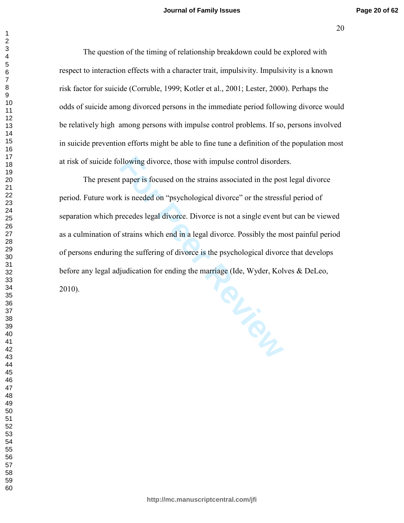$(20)$ 

The question of the timing of relationship breakdown could be explored with respect to interaction effects with a character trait, impulsivity. Impulsivity is a known risk factor for suicide (Corruble, 1999; Kotler et al., 2001; Lester, 2000). Perhaps the odds of suicide among divorced persons in the immediate period following divorce would be relatively high among persons with impulse control problems. If so, persons involved in suicide prevention efforts might be able to fine tune a definition of the population most at risk of suicide following divorce, those with impulse control disorders.

The present paper is focused on the strains associated in the post legal divorce period. Future work is needed on "psychological divorce" or the stressful period of separation which precedes legal divorce. Divorce is not a single event but can be viewed as a culmination of strains which end in a legal divorce. Possibly the most painful period of persons enduring the suffering of divorce is the psychological divorce that develops before any legal adjudication for ending the marriage (Ide, Wyder, Kolves & DeLeo, 2010).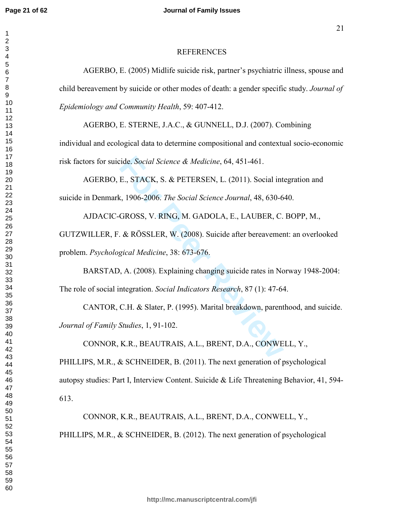#### **REFERENCES**

AGERBO, E. (2005) Midlife suicide risk, partner's psychiatric illness, spouse and child bereavement by suicide or other modes of death: a gender specific study. Journal of Epidemiology and Community Health, 59: 407-412.

AGERBO, E. STERNE, J.A.C., & GUNNELL, D.J. (2007). Combining individual and ecological data to determine compositional and contextual socio-economic risk factors for suicide. Social Science & Medicine, 64, 451-461.

AGERBO, E., STACK, S. & PETERSEN, L. (2011). Social integration and suicide in Denmark, 1906-2006. The Social Science Journal, 48, 630-640.

AJDACIC-GROSS, V. RING, M. GADOLA, E., LAUBER, C. BOPP, M., GUTZWILLER, F. & RÖSSLER, W. (2008). Suicide after bereavement: an overlooked problem. Psychological Medicine, 38: 673-676.

BARSTAD, A. (2008). Explaining changing suicide rates in Norway 1948-2004: The role of social integration. Social Indicators Research, 87 (1): 47-64.

CANTOR, C.H. & Slater, P. (1995). Marital breakdown, parenthood, and suicide. Journal of Family Studies, 1, 91-102.

CONNOR, K.R., BEAUTRAIS, A.L., BRENT, D.A., CONWELL, Y.,

PHILLIPS, M.R., & SCHNEIDER, B. (2011). The next generation of psychological autopsy studies: Part I, Interview Content. Suicide & Life Threatening Behavior, 41, 594-613.

CONNOR, K.R., BEAUTRAIS, A.L., BRENT, D.A., CONWELL, Y., PHILLIPS, M.R., & SCHNEIDER, B. (2012). The next generation of psychological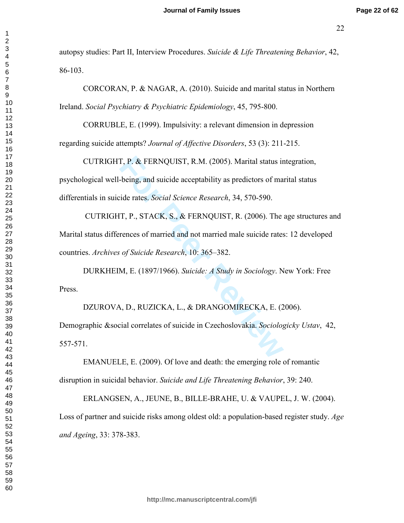autopsy studies: Part II, Interview Procedures. Suicide & Life Threatening Behavior, 42, 86-103.

 $CORCORAN$ , P. & NAGAR, A. (2010). Suicide and marital status in Northern Ireland. Social Psychiatry & Psychiatric Epidemiology, 45, 795-800.

CORRUBLE, E. (1999). Impulsivity: a relevant dimension in depression regarding suicide attempts? *Journal of Affective Disorders*, 53 (3): 211-215.

**F, P. & FERNQUIST, R.M. (2005). Marital status ir-being, and suicide acceptability as predictors of maride rates.** *Social Science Research***, 34, 570-590.<br>
<b>T, P., STACK, S., & FERNQUIST, R. (2006). The rences of married a** CUTRIGHT, P. & FERNQUIST, R.M.  $(2005)$ . Marital status integration, psychological well-being, and suicide acceptability as predictors of marital status differentials in suicide rates. Social Science Research, 34, 570-590.

CUTRIGHT, P., STACK, S., & FERNQUIST, R.  $(2006)$ . The age structures and Marital status differences of married and not married male suicide rates: 12 developed countries. Archives of Suicide Research, 10: 365–382.

DURKHEIM, E. (1897/1966). Suicide: A Study in Sociology. New York: Free Press.

DZUROVA, D., RUZICKA, L., & DRANGOMIRECKA, E. (2006). Demographic &social correlates of suicide in Czechoslovakia. Sociologicky Ustav, 42, 557-571.

EMANUELE, E. (2009). Of love and death: the emerging role of romantic disruption in suicidal behavior. Suicide and Life Threatening Behavior, 39: 240.

ERLANGSEN, A., JEUNE, B., BILLE-BRAHE, U. & VAUPEL, J. W. (2004). Loss of partner and suicide risks among oldest old: a population-based register study. Age and Ageing, 33: 378-383.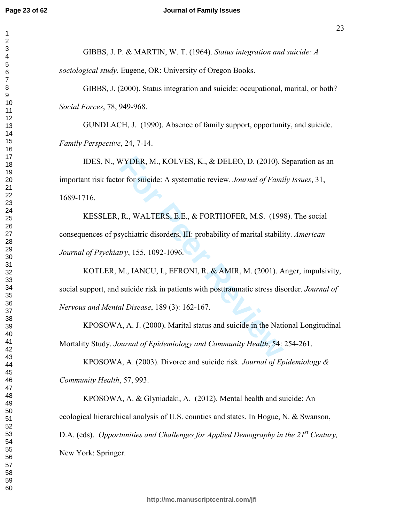$\mathbf{1}$  $\overline{2}$ 

#### **Journal of Family Issues**

GIBBS, J. P. & MARTIN, W. T. (1964). Status integration and suicide: A

sociological study. Eugene, OR: University of Oregon Books.

GIBBS, J. (2000). Status integration and suicide: occupational, marital, or both? Social Forces, 78, 949-968.

GUNDLACH, J. (1990). Absence of family support, opportunity, and suicide. Family Perspective, 24, 7-14.

IDES, N., WYDER, M., KOLVES, K., & DELEO, D. (2010). Separation as an important risk factor for suicide: A systematic review. Journal of Family Issues, 31, 1689-1716.

KESSLER, R., WALTERS, E.E., & FORTHOFER, M.S. (1998). The social consequences of psychiatric disorders, III: probability of marital stability. American Journal of Psychiatry, 155, 1092-1096.

KOTLER, M., IANCU, I., EFRONI, R. & AMIR, M. (2001). Anger, impulsivity, social support, and suicide risk in patients with posttraumatic stress disorder. Journal of Nervous and Mental Disease, 189 (3): 162-167.

KPOSOWA, A. J. (2000). Marital status and suicide in the National Longitudinal Mortality Study. Journal of Epidemiology and Community Health, 54: 254-261.

KPOSOWA, A. (2003). Divorce and suicide risk. Journal of Epidemiology  $\&$ Community Health, 57, 993.

KPOSOWA, A. & Glyniadaki, A. (2012). Mental health and suicide: An ecological hierarchical analysis of U.S. counties and states. In Hogue, N. & Swanson, D.A. (eds). Opportunities and Challenges for Applied Demography in the  $21^{st}$  Century, New York: Springer.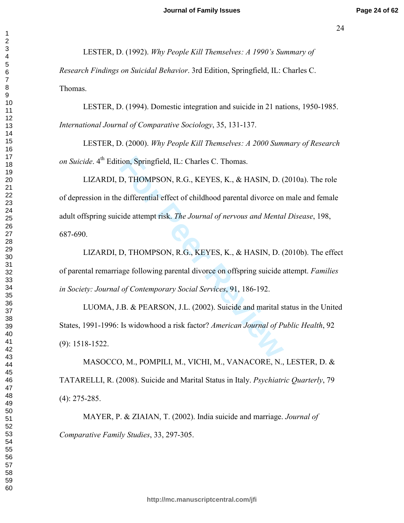LESTER, D. (1992). Why People Kill Themselves: A 1990's Summary of Research Findings on Suicidal Behavior. 3rd Edition, Springfield, IL: Charles C. Thomas.

LESTER, D. (1994). Domestic integration and suicide in 21 nations, 1950-1985. International Journal of Comparative Sociology, 35, 131-137.

LESTER, D. (2000). Why People Kill Themselves: A 2000 Summary of Research on Suicide. 4<sup>th</sup> Edition, Springfield, IL: Charles C. Thomas.

LIZARDI, D. THOMPSON, R.G., KEYES, K., & HASIN, D. (2010a). The role of depression in the differential effect of childhood parental divorce on male and female adult offspring suicide attempt risk. The Journal of nervous and Mental Disease, 198, 687-690.

LIZARDI, D. THOMPSON, R.G., KEYES, K., & HASIN, D. (2010b). The effect of parental remarriage following parental divorce on offspring suicide attempt. Families in Society: Journal of Contemporary Social Services, 91, 186-192.

LUOMA, J.B. & PEARSON, J.L. (2002). Suicide and marital status in the United States, 1991-1996: Is widowhood a risk factor? American Journal of Public Health, 92  $(9)$ : 1518-1522.

MASOCCO, M., POMPILI, M., VICHI, M., VANACORE, N., LESTER, D. & TATARELLI, R. (2008). Suicide and Marital Status in Italy. Psychiatric Quarterly, 79  $(4)$ : 275-285.

MAYER, P. & ZIAIAN, T. (2002). India suicide and marriage. Journal of Comparative Family Studies, 33, 297-305.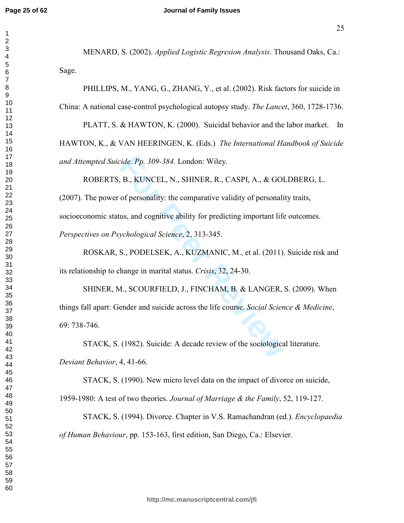$\mathbf{1}$  $\overline{2}$ 

 $\overline{7}$ 

#### **Journal of Family Issues**

MENARD, S. (2002). Applied Logistic Regresion Analysis. Thousand Oaks, Ca.: Sage.

PHILLIPS, M., YANG, G., ZHANG, Y., et al. (2002). Risk factors for suicide in China: A national case-control psychological autopsy study. The Lancet, 360, 1728-1736.

PLATT, S. & HAWTON, K. (2000). Suicidal behavior and the labor market. In HAWTON, K., & VAN HEERINGEN, K. (Eds.) The International Handbook of Suicide and Attempted Suicide. Pp. 309-384. London: Wiley.

ROBERTS, B., KUNCEL, N., SHINER, R., CASPI, A., & GOLDBERG, L.

(2007). The power of personality: the comparative validity of personality traits, socioeconomic status, and cognitive ability for predicting important life outcomes. Perspectives on Psychological Science, 2, 313-345.

ROSKAR, S., PODELSEK, A., KUZMANIC, M., et al. (2011). Suicide risk and its relationship to change in marital status. Crisis, 32, 24-30.

SHINER, M., SCOURFIELD, J., FINCHAM, B. & LANGER, S. (2009). When things fall apart: Gender and suicide across the life course. Social Science & Medicine, 69: 738-746.

STACK, S. (1982). Suicide: A decade review of the sociological literature. Deviant Behavior, 4, 41-66.

STACK, S. (1990). New micro level data on the impact of divorce on suicide,

1959-1980: A test of two theories. Journal of Marriage & the Family, 52, 119-127.

STACK, S. (1994). Divorce. Chapter in V.S. Ramachandran (ed.). *Encyclopaedia* of Human Behaviour, pp. 153-163, first edition, San Diego, Ca.: Elsevier.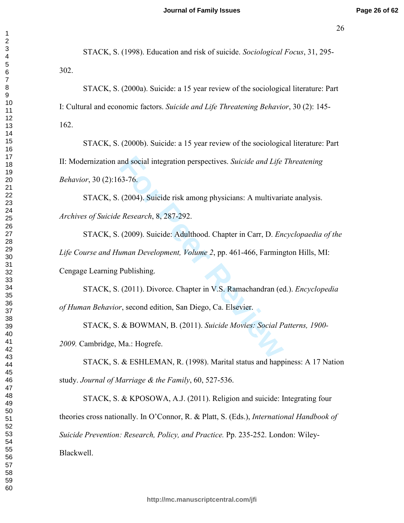STACK, S. (1998). Education and risk of suicide. Sociological Focus, 31, 295- $302.$ 

STACK, S. (2000a). Suicide: a 15 year review of the sociological literature: Part I: Cultural and economic factors. Suicide and Life Threatening Behavior, 30 (2): 145- $162.$ 

STACK, S. (2000b). Suicide: a 15 year review of the sociological literature: Part II: Modernization and social integration perspectives. Suicide and Life Threatening *Behavior*, 30 (2):163-76.

STACK, S. (2004). Suicide risk among physicians: A multivariate analysis. Archives of Suicide Research, 8, 287-292.

and social integration perspectives. *Suicide and Life*<br> **For Peer Algeber 2004).** Suicide risk among physicians: A multivari<br> *FResearch*, 8, 287-292.<br> **FREVIEW ADDENTA CONSIDE 10.1466**, Farming<br> **Publishing.**<br> **FREVIEW A** STACK, S. (2009). Suicide: Adulthood. Chapter in Carr, D. *Encyclopaedia of the* Life Course and Human Development, Volume 2, pp. 461-466, Farmington Hills, MI: Cengage Learning Publishing.

STACK, S. (2011). Divorce. Chapter in V.S. Ramachandran (ed.). *Encyclopedia* of Human Behavior, second edition, San Diego, Ca. Elsevier.

STACK, S. & BOWMAN, B. (2011). Suicide Movies: Social Patterns, 1900-2009. Cambridge, Ma.: Hogrefe.

STACK, S. & ESHLEMAN, R. (1998). Marital status and happiness: A 17 Nation study. Journal of Marriage & the Family, 60, 527-536.

STACK, S. & KPOSOWA, A.J. (2011). Religion and suicide: Integrating four theories cross nationally. In O'Connor, R. & Platt, S. (Eds.), International Handbook of Suicide Prevention: Research, Policy, and Practice. Pp. 235-252. London: Wiley-Blackwell.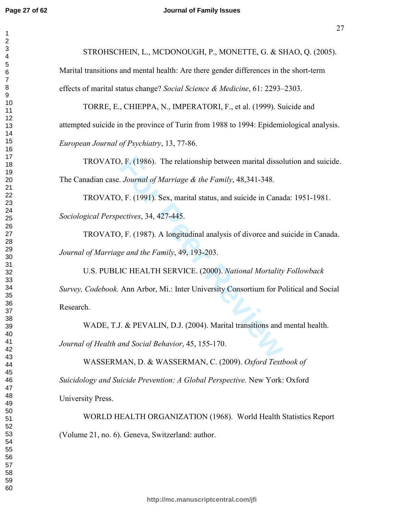$\mathbf{1}$  $\overline{2}$ 

STROHSCHEIN, L., MCDONOUGH, P., MONETTE, G. & SHAO, O. (2005).

Marital transitions and mental health: Are there gender differences in the short-term effects of marital status change? Social Science & Medicine, 61: 2293–2303.

TORRE, E., CHIEPPA, N., IMPERATORI, F., et al. (1999). Suicide and attempted suicide in the province of Turin from 1988 to 1994: Epidemiological analysis. European Journal of Psychiatry, 13, 77-86.

TROVATO, F. (1986). The relationship between marital dissolution and suicide. The Canadian case. Journal of Marriage & the Family, 48,341-348.

TROVATO, F. (1991). Sex, marital status, and suicide in Canada: 1951-1981. Sociological Perspectives, 34, 427-445.

TROVATO, F. (1987). A longitudinal analysis of divorce and suicide in Canada. Journal of Marriage and the Family, 49, 193-203.

U.S. PUBLIC HEALTH SERVICE. (2000). National Mortality Followback Survey, Codebook. Ann Arbor, Mi.: Inter University Consortium for Political and Social Research.

WADE, T.J. & PEVALIN, D.J. (2004). Marital transitions and mental health. Journal of Health and Social Behavior, 45, 155-170.

WASSERMAN, D. & WASSERMAN, C. (2009). Oxford Textbook of

Suicidology and Suicide Prevention: A Global Perspective. New York: Oxford University Press.

WORLD HEALTH ORGANIZATION (1968). World Health Statistics Report (Volume 21, no. 6). Geneva, Switzerland: author.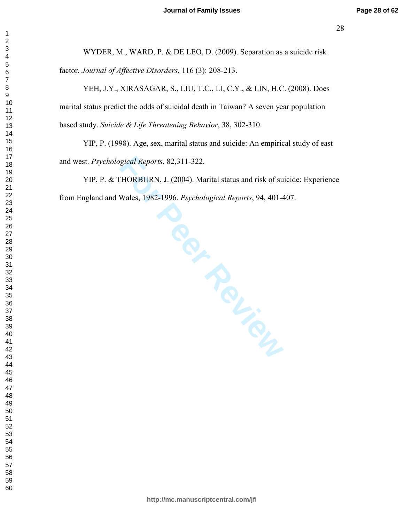WYDER, M., WARD, P. & DE LEO, D. (2009). Separation as a suicide risk factor. Journal of Affective Disorders, 116 (3): 208-213.

YEH, J.Y., XIRASAGAR, S., LIU, T.C., LI, C.Y., & LIN, H.C. (2008). Does marital status predict the odds of suicidal death in Taiwan? A seven year population based study. Suicide & Life Threatening Behavior, 38, 302-310.

YIP, P. (1998). Age, sex, marital status and suicide: An empirical study of east and west. Psychological Reports, 82,311-322.

regical Reports, 82,311-322.<br>
HORBURN, J. (2004). Marital status and risk of su<br>
Wales, 1982-1996. *Psychological Reports*, 94, 401-4<br>
Marital status and risk of su<br>
Marital Status and risk of su  $YIP, P. & THORBURN, J. (2004).$  Marital status and risk of suicide: Experience from England and Wales, 1982-1996. Psychological Reports, 94, 401-407. 982-1996. Psychological Reports, 94, 401-407.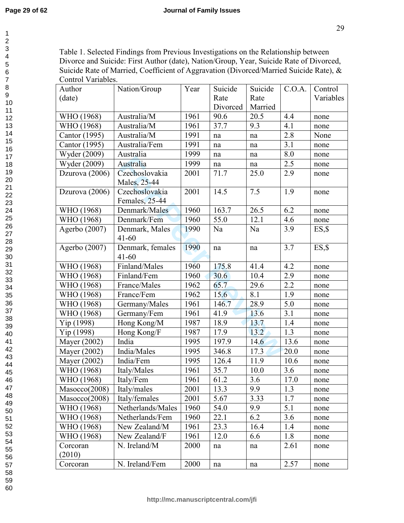$\mathbf{1}$  $\overline{2}$ 

 $\overline{\mathbf{4}}$ 

 $\overline{7}$ 

Table 1. Selected Findings from Previous Investigations on the Relationship between Divorce and Suicide: First Author (date), Nation/Group, Year, Suicide Rate of Divorced, Suicide Rate of Married, Coefficient of Aggravation (Divorced/Married Suicide Rate), & Control Variables.

| Author         | Nation/Group      | Year | Suicide  | Suicide | C.O.A.  | Control   |
|----------------|-------------------|------|----------|---------|---------|-----------|
| (date)         |                   |      | Rate     | Rate    |         | Variables |
|                |                   |      | Divorced | Married |         |           |
| WHO (1968)     | Australia/M       | 1961 | 90.6     | 20.5    | 4.4     | none      |
| WHO (1968)     | Australia/M       | 1961 | 37.7     | 9.3     | 4.1     | none      |
| Cantor (1995)  | Australia/M       | 1991 | na       | na      | 2.8     | None      |
| Cantor (1995)  | Australia/Fem     | 1991 | na       | na      | 3.1     | none      |
| Wyder (2009)   | Australia         | 1999 | na       | na      | $8.0\,$ | none      |
| Wyder (2009)   | Australia         | 1999 | na       | na      | 2.5     | none      |
| Dzurova (2006) | Czechoslovakia    | 2001 | 71.7     | 25.0    | 2.9     | none      |
|                | Males, 25-44      |      |          |         |         |           |
| Dzurova (2006) | Czechoslovakia    | 2001 | 14.5     | 7.5     | 1.9     | none      |
|                | Females, 25-44    |      |          |         |         |           |
| WHO (1968)     | Denmark/Males     | 1960 | 163.7    | 26.5    | 6.2     | none      |
| WHO (1968)     | Denmark/Fem       | 1960 | 55.0     | 12.1    | 4.6     | none      |
| Agerbo (2007)  | Denmark, Males    | 1990 | Na       | Na      | 3.9     | $ES,$ \$  |
|                | $41 - 60$         |      |          |         |         |           |
| Agerbo (2007)  | Denmark, females  | 1990 | na       | na      | 3.7     | $ES,$ \$  |
|                | $41 - 60$         |      |          |         |         |           |
| WHO (1968)     | Finland/Males     | 1960 | 175.8    | 41.4    | 4.2     | none      |
| WHO (1968)     | Finland/Fem       | 1960 | 30.6     | 10.4    | 2.9     | none      |
| WHO (1968)     | France/Males      | 1962 | 65.7     | 29.6    | 2.2     | none      |
| WHO (1968)     | France/Fem        | 1962 | 15.6     | 8.1     | 1.9     | none      |
| WHO (1968)     | Germany/Males     | 1961 | 146.7    | 28.9    | 5.0     | none      |
| WHO (1968)     | Germany/Fem       | 1961 | 41.9     | 13.6    | 3.1     | none      |
| Yip (1998)     | Hong Kong/M       | 1987 | 18.9     | 13.7    | 1.4     | none      |
| Yip (1998)     | Hong Kong/F       | 1987 | 17.9     | 13.2    | 1.3     | none      |
| Mayer (2002)   | India             | 1995 | 197.9    | 14.6    | 13.6    | none      |
| Mayer (2002)   | India/Males       | 1995 | 346.8    | 17.3    | 20.0    | none      |
| Mayer (2002)   | India/Fem         | 1995 | 126.4    | 11.9    | 10.6    | none      |
| WHO (1968)     | Italy/Males       | 1961 | 35.7     | 10.0    | 3.6     | none      |
| WHO (1968)     | Italy/Fem         | 1961 | 61.2     | 3.6     | 17.0    | none      |
| Mascco(2008)   | Italy/males       | 2001 | 13.3     | 9.9     | 1.3     | none      |
| Mascco(2008)   | Italy/females     | 2001 | 5.67     | 3.33    | 1.7     | none      |
| WHO (1968)     | Netherlands/Males | 1960 | 54.0     | 9.9     | 5.1     | none      |
| WHO (1968)     | Netherlands/Fem   | 1960 | 22.1     | 6.2     | 3.6     | none      |
| WHO (1968)     | New Zealand/M     | 1961 | 23.3     | 16.4    | 1.4     | none      |
| WHO (1968)     | New Zealand/F     | 1961 | 12.0     | 6.6     | 1.8     | none      |
| Corcoran       | N. Ireland/M      | 2000 | na       | na      | 2.61    | none      |
| (2010)         |                   |      |          |         |         |           |
| Corcoran       | N. Ireland/Fem    | 2000 | na       | na      | 2.57    | none      |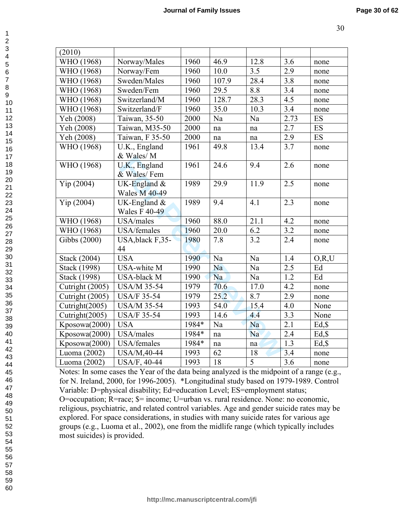| (2010)                                                                                    |                                        |       |       |                     |                  |           |
|-------------------------------------------------------------------------------------------|----------------------------------------|-------|-------|---------------------|------------------|-----------|
| WHO (1968)                                                                                | Norway/Males                           | 1960  | 46.9  | 12.8                | 3.6              | none      |
| WHO (1968)                                                                                | Norway/Fem                             | 1960  | 10.0  | 3.5                 | 2.9              | none      |
| WHO (1968)                                                                                | Sweden/Males                           | 1960  | 107.9 | 28.4                | 3.8              | none      |
| WHO (1968)                                                                                | Sweden/Fem                             | 1960  | 29.5  | 8.8                 | 3.4              | none      |
| WHO (1968)                                                                                | Switzerland/M                          | 1960  | 128.7 | 28.3                | 4.5              | none      |
| WHO (1968)                                                                                | Switzerland/F                          | 1960  | 35.0  | 10.3                | 3.4              | none      |
| Yeh (2008)                                                                                | Taiwan, 35-50                          | 2000  | Na    | Na                  | 2.73             | ES        |
| Yeh (2008)                                                                                | Taiwan, M35-50                         | 2000  | na    | na                  | 2.7              | <b>ES</b> |
| Yeh (2008)                                                                                | Taiwan, F 35-50                        | 2000  | na    | $\operatorname{na}$ | 2.9              | <b>ES</b> |
| WHO (1968)                                                                                | U.K., England<br>& Wales/M             | 1961  | 49.8  | 13.4                | 3.7              | none      |
| WHO (1968)                                                                                | U.K., England<br>& Wales/Fem           | 1961  | 24.6  | 9.4                 | 2.6              | none      |
| Yip(2004)                                                                                 | UK-England $&$<br><b>Wales M 40-49</b> | 1989  | 29.9  | 11.9                | 2.5              | none      |
| Yip(2004)                                                                                 | UK-England $&$<br><b>Wales F 40-49</b> | 1989  | 9.4   | $\overline{4.1}$    | 2.3              | none      |
| WHO (1968)                                                                                | USA/males                              | 1960  | 88.0  | 21.1                | 4.2              | none      |
| WHO (1968)                                                                                | USA/females                            | 1960  | 20.0  | 6.2                 | 3.2              | none      |
| Gibbs (2000)                                                                              | USA, black F, 35-                      | 1980  | 7.8   | 3.2                 | 2.4              | none      |
|                                                                                           | 44                                     |       |       |                     |                  |           |
| Stack (2004)                                                                              | <b>USA</b>                             | 1990  | Na    | Na                  | 1.4              | O, R, U   |
| Stack (1998)                                                                              | USA-white M                            | 1990  | Na    | Na                  | 2.5              | Ed        |
| Stack (1998)                                                                              | <b>USA-black M</b>                     | 1990  | Na    | Na                  | 1.2              | Ed        |
| Cutright (2005)                                                                           | <b>USA/M 35-54</b>                     | 1979  | 70.6  | 17.0                | 4.2              | none      |
| Cutright (2005)                                                                           | <b>USA/F 35-54</b>                     | 1979  | 25.2  | 8.7                 | 2.9              | none      |
| Cutright(2005)                                                                            | <b>USA/M 35-54</b>                     | 1993  | 54.0  | 15.4                | 4.0              | None      |
| Cutright(2005)                                                                            | <b>USA/F 35-54</b>                     | 1993  | 14.6  | 4.4                 | $\overline{3.3}$ | None      |
| Kposowa(2000)                                                                             | <b>USA</b>                             | 1984* | Na    | Na                  | 2.1              | Ed, \$    |
| Kposowa(2000)                                                                             | USA/males                              | 1984* | na    | Na                  | 2.4              | $Ed,$ \$  |
| Kposowa(2000)                                                                             | USA/females                            | 1984* | na    | na                  | 1.3              | Ed, \$    |
| Luoma (2002)                                                                              | <b>USA/M,40-44</b>                     | 1993  | 62    | 18                  | 3.4              | none      |
| Luoma (2002)                                                                              | USA/F, 40-44                           | 1993  | 18    | $\overline{5}$      | 3.6              | none      |
| Notes: In some eases the Veer of the data being englyzed is the midnesnt of a range (e.g. |                                        |       |       |                     |                  |           |

Notes: In some cases the Year of the data being analyzed is the midpoint of a range (e.g., for N. Ireland, 2000, for 1996-2005). \*Longitudinal study based on 1979-1989. Control Variable: D=physical disability; Ed=education Level; ES=employment status; O=occupation; R=race; \$= income; U=urban vs. rural residence. None: no economic, religious, psychiatric, and related control variables. Age and gender suicide rates may be explored. For space considerations, in studies with many suicide rates for various age groups (e.g., Luoma et al., 2002), one from the midlife range (which typically includes most suicides) is provided.

 $\mathbf{1}$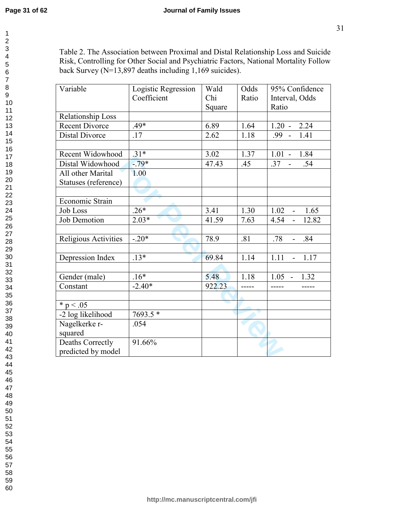Table 2. The Association between Proximal and Distal Relationship Loss and Suicide Risk, Controlling for Other Social and Psychiatric Factors, National Mortality Follow back Survey ( $N=13,897$  deaths including 1,169 suicides).

| Variable              | Logistic Regression | Wald   | Odds  | 95% Confidence                            |
|-----------------------|---------------------|--------|-------|-------------------------------------------|
|                       | Coefficient         | Chi    | Ratio | Interval, Odds                            |
|                       |                     | Square |       | Ratio                                     |
| Relationship Loss     |                     |        |       |                                           |
| <b>Recent Divorce</b> | .49*                | 6.89   | 1.64  | $1.20 - 2.24$                             |
| <b>Distal Divorce</b> | .17                 | 2.62   | 1.18  | 1.41<br>$.99 -$                           |
|                       |                     |        |       |                                           |
| Recent Widowhood      | $.31*$              | 3.02   | 1.37  | $1.01 - 1.84$                             |
| Distal Widowhood      | $-79*$              | 47.43  | .45   | $.37 -$<br>.54                            |
| All other Marital     | 1.00                |        |       |                                           |
| Statuses (reference)  |                     |        |       |                                           |
|                       |                     |        |       |                                           |
| Economic Strain       |                     |        |       |                                           |
| <b>Job Loss</b>       | $.26*$              | 3.41   | 1.30  | 1.02<br>1.65<br>$\sim 10^{-1}$            |
| Job Demotion          | $2.03*$             | 41.59  | 7.63  | 4.54<br>12.82<br>$\blacksquare$           |
|                       |                     |        |       |                                           |
| Religious Activities  | $-.20*$             | 78.9   | .81   | $\overline{.78}$<br>.84<br>$\overline{a}$ |
|                       |                     |        |       |                                           |
| Depression Index      | $.13*$              | 69.84  | 1.14  | 1.11<br>1.17<br>$\overline{a}$            |
|                       |                     |        |       |                                           |
| Gender (male)         | $.16*$              | 5.48   | 1.18  | $1.05 - 1.32$                             |
| Constant              | $-2.40*$            | 922.23 |       |                                           |
|                       |                     |        |       |                                           |
| * $p < .05$           |                     |        |       |                                           |
| -2 log likelihood     | 7693.5 *            |        |       |                                           |
| Nagelkerke r-         | .054                |        |       |                                           |
| squared               |                     |        |       |                                           |
| Deaths Correctly      | 91.66%              |        |       |                                           |
| predicted by model    |                     |        |       |                                           |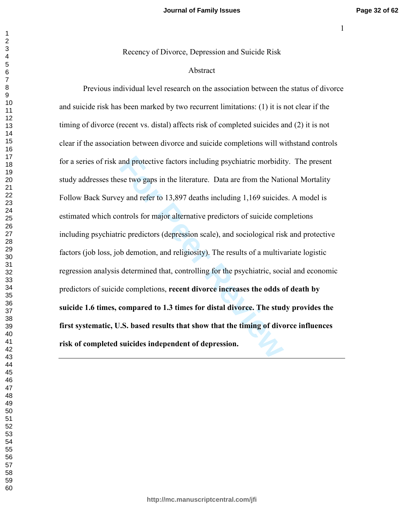-

Recency of Divorce, Depression and Suicide Risk

#### Abstract

and protective factors including psychiatric morbidit<br>se two gaps in the literature. Data are from the Nationary and refer to 13,897 deaths including 1,169 suicide<br>ontrols for major alternative predictors of suicide cor-<br>r Previous individual level research on the association between the status of divorce and suicide risk has been marked by two recurrent limitations: (1) it is not clear if the timing of divorce (recent vs. distal) affects risk of completed suicides and  $(2)$  it is not clear if the association between divorce and suicide completions will withstand controls for a series of risk and protective factors including psychiatric morbidity. The present study addresses these two gaps in the literature. Data are from the National Mortality Follow Back Survey and refer to 13,897 deaths including 1,169 suicides. A model is estimated which controls for major alternative predictors of suicide completions including psychiatric predictors (depression scale), and sociological risk and protective factors (job loss, job demotion, and religiosity). The results of a multivariate logistic regression analysis determined that, controlling for the psychiatric, social and economic predictors of suicide completions, recent divorce increases the odds of death by suicide 1.6 times, compared to 1.3 times for distal divorce. The study provides the first systematic, U.S. based results that show that the timing of divorce influences risk of completed suicides independent of depression.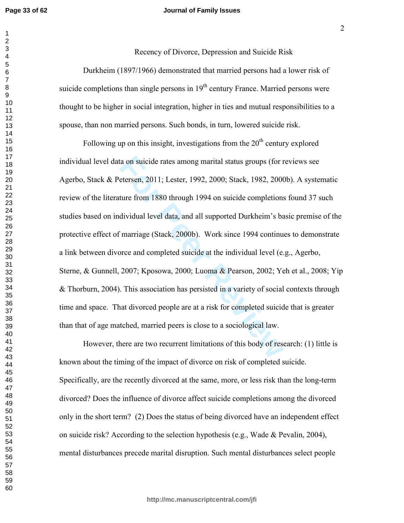$\mathbf{1}$  $\overline{2}$ 

 $\overline{7}$ 

#### **Journal of Family Issues**

Recency of Divorce, Depression and Suicide Risk Durkheim (1897/1966) demonstrated that married persons had a lower risk of suicide completions than single persons in 19<sup>th</sup> century France. Married persons were thought to be higher in social integration, higher in ties and mutual responsibilities to a spouse, than non married persons. Such bonds, in turn, lowered suicide risk.

Following up on this insight, investigations from the  $20<sup>th</sup>$  century explored individual level data on suicide rates among marital status groups (for reviews see Agerbo, Stack & Petersen, 2011; Lester, 1992, 2000; Stack, 1982, 2000b). A systematic review of the literature from 1880 through 1994 on suicide completions found 37 such studies based on individual level data, and all supported Durkheim's basic premise of the protective effect of marriage (Stack, 2000b). Work since 1994 continues to demonstrate a link between divorce and completed suicide at the individual level (e.g., Agerbo, Sterne, & Gunnell, 2007; Kposowa, 2000; Luoma & Pearson, 2002; Yeh et al., 2008; Yip & Thorburn, 2004). This association has persisted in a variety of social contexts through time and space. That divorced people are at a risk for completed suicide that is greater than that of age matched, married peers is close to a sociological law.

However, there are two recurrent limitations of this body of research: (1) little is known about the timing of the impact of divorce on risk of completed suicide. Specifically, are the recently divorced at the same, more, or less risk than the long-term divorced? Does the influence of divorce affect suicide completions among the divorced only in the short term? (2) Does the status of being divorced have an independent effect on suicide risk? According to the selection hypothesis (e.g., Wade  $\&$  Pevalin, 2004), mental disturbances precede marital disruption. Such mental disturbances select people

 $\overline{2}$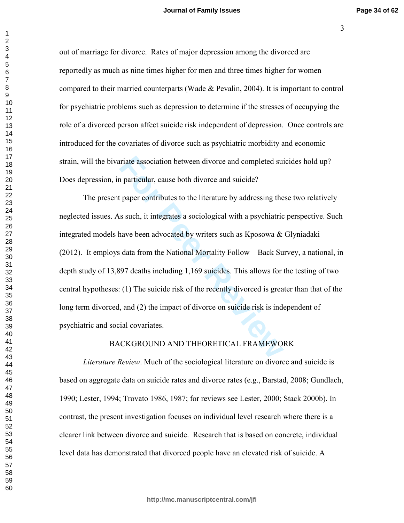)

out of marriage for divorce. Rates of major depression among the divorced are reportedly as much as nine times higher for men and three times higher for women compared to their married counterparts (Wade  $\&$  Pevalin, 2004). It is important to control for psychiatric problems such as depression to determine if the stresses of occupying the role of a divorced person affect suicide risk independent of depression. Once controls are introduced for the covariates of divorce such as psychiatric morbidity and economic strain, will the bivariate association between divorce and completed suicides hold up?

Does depression, in particular, cause both divorce and suicide?

Final association between divorce and completed suitary and particular, cause both divorce and suicide?<br>
For Paper contributes to the literature by addressing the s such, it integrates a sociological with a psychiatric nav The present paper contributes to the literature by addressing these two relatively neglected issues. As such, it integrates a sociological with a psychiatric perspective. Such integrated models have been advocated by writers such as Kposowa & Glyniadaki (2012). It employs data from the National Mortality Follow - Back Survey, a national, in depth study of  $13,897$  deaths including  $1,169$  suicides. This allows for the testing of two central hypotheses: (1) The suicide risk of the recently divorced is greater than that of the long term divorced, and  $(2)$  the impact of divorce on suicide risk is independent of psychiatric and social covariates.

#### BACKGROUND AND THEORETICAL FRAMEWORK

*Literature Review.* Much of the sociological literature on divorce and suicide is based on aggregate data on suicide rates and divorce rates (e.g., Barstad, 2008; Gundlach, 1990; Lester, 1994; Trovato 1986, 1987; for reviews see Lester, 2000; Stack 2000b). In contrast, the present investigation focuses on individual level research where there is a clearer link between divorce and suicide. Research that is based on concrete, individual level data has demonstrated that divorced people have an elevated risk of suicide. A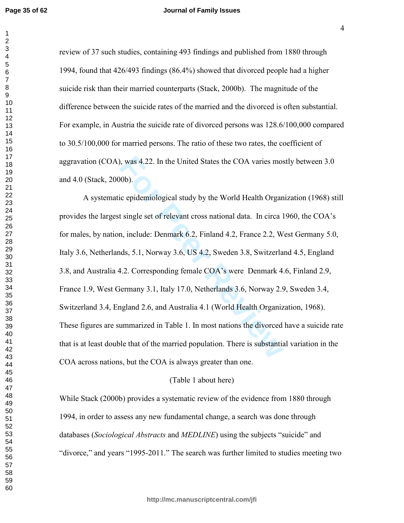review of 37 such studies, containing 493 findings and published from 1880 through 1994, found that  $426/493$  findings  $(86.4%)$  showed that divorced people had a higher suicide risk than their married counterparts (Stack, 2000b). The magnitude of the difference between the suicide rates of the married and the divorced is often substantial. For example, in Austria the suicide rate of divorced persons was 128.6/100,000 compared to 30.5/100,000 for married persons. The ratio of these two rates, the coefficient of aggravation  $(COA)$ , was  $4.22$ . In the United States the COA varies mostly between  $3.0$ and 4.0 (Stack, 2000b).

**Formal States the COA varies most and States the COA varies most to sum the United States the World Health Organ t single set of relevant cross national data. In circa 1 and in single set of relevant cross national data.** A systematic epidemiological study by the World Health Organization (1968) still provides the largest single set of relevant cross national data. In circa 1960, the COA's for males, by nation, include: Denmark 6.2, Finland 4.2, France 2.2, West Germany 5.0, Italy 3.6, Netherlands, 5.1, Norway 3.6, US 4.2, Sweden 3.8, Switzerland 4.5, England 3.8, and Australia 4.2. Corresponding female COA's were Denmark 4.6, Finland 2.9, France 1.9, West Germany 3.1, Italy 17.0, Netherlands 3.6, Norway 2.9, Sweden 3.4, Switzerland 3.4, England 2.6, and Australia 4.1 (World Health Organization, 1968). These figures are summarized in Table 1. In most nations the divorced have a suicide rate that is at least double that of the married population. There is substantial variation in the COA across nations, but the COA is always greater than one.

# (Table 1 about here)

While Stack (2000b) provides a systematic review of the evidence from 1880 through 1994, in order to assess any new fundamental change, a search was done through databases (Sociological Abstracts and MEDLINE) using the subjects "suicide" and "divorce," and years "1995-2011." The search was further limited to studies meeting two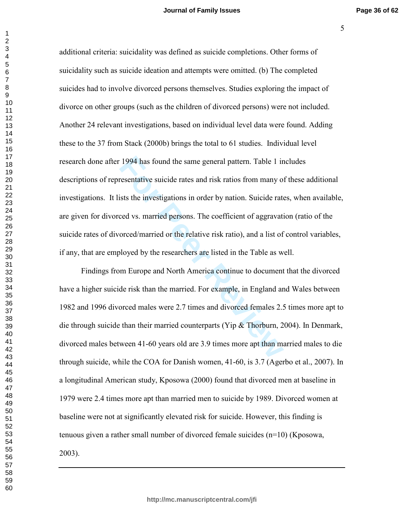additional criteria: suicidality was defined as suicide completions. Other forms of suicidality such as suicide ideation and attempts were omitted. (b) The completed suicides had to involve divorced persons themselves. Studies exploring the impact of divorce on other groups (such as the children of divorced persons) were not included. Another 24 relevant investigations, based on individual level data were found. Adding these to the 37 from Stack (2000b) brings the total to 61 studies. Individual level research done after 1994 has found the same general pattern. Table 1 includes descriptions of representative suicide rates and risk ratios from many of these additional investigations. It lists the investigations in order by nation. Suicide rates, when available, are given for divorced vs. married persons. The coefficient of aggravation (ratio of the suicide rates of divorced/married or the relative risk ratio), and a list of control variables, if any, that are employed by the researchers are listed in the Table as well.

Findings from Europe and North America continue to document that the divorced have a higher suicide risk than the married. For example, in England and Wales between 1982 and 1996 divorced males were 2.7 times and divorced females 2.5 times more apt to die through suicide than their married counterparts (Yip & Thorburn, 2004). In Denmark, divorced males between 41-60 years old are 3.9 times more apt than married males to die through suicide, while the COA for Danish women, 41-60, is 3.7 (Agerbo et al., 2007). In a longitudinal American study, Kposowa (2000) found that divorced men at baseline in 1979 were 2.4 times more apt than married men to suicide by 1989. Divorced women at baseline were not at significantly elevated risk for suicide. However, this finding is tenuous given a rather small number of divorced female suicides  $(n=10)$  (Kposowa, 2003).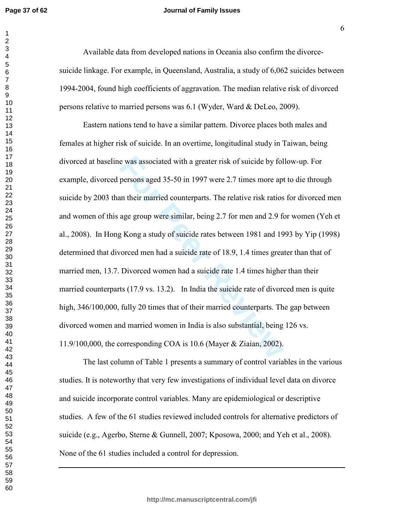#### **Journal of Family Issues**

Available data from developed nations in Oceania also confirm the divorcesuicide linkage. For example, in Queensland, Australia, a study of 6,062 suicides between 1994-2004, found high coefficients of aggravation. The median relative risk of divorced persons relative to married persons was 6.1 (Wyder, Ward & DeLeo, 2009).

e was associated with a greater risk of suicide by fol<br>persons aged 35-50 in 1997 were 2.7 times more apt<br>an their married counterparts. The relative risk ratios<br>age group were similar, being 2.7 for men and 2.9 for<br>g Kong Eastern nations tend to have a similar pattern. Divorce places both males and females at higher risk of suicide. In an overtime, longitudinal study in Taiwan, being divorced at baseline was associated with a greater risk of suicide by follow-up. For example, divorced persons aged 35-50 in 1997 were 2.7 times more apt to die through suicide by 2003 than their married counterparts. The relative risk ratios for divorced men and women of this age group were similar, being 2.7 for men and 2.9 for women (Yeh et al., 2008). In Hong Kong a study of suicide rates between 1981 and 1993 by Yip  $(1998)$ determined that divorced men had a suicide rate of 18.9, 1.4 times greater than that of married men, 13.7. Divorced women had a suicide rate 1.4 times higher than their married counterparts  $(17.9 \text{ vs. } 13.2)$ . In India the suicide rate of divorced men is quite high, 346/100,000, fully 20 times that of their married counterparts. The gap between divorced women and married women in India is also substantial, being 126 vs. 11.9/100,000, the corresponding COA is 10.6 (Mayer & Ziaian, 2002).

The last column of Table 1 presents a summary of control variables in the various studies. It is noteworthy that very few investigations of individual level data on divorce and suicide incorporate control variables. Many are epidemiological or descriptive studies. A few of the 61 studies reviewed included controls for alternative predictors of suicide (e.g., Agerbo, Sterne & Gunnell, 2007; Kposowa, 2000; and Yeh et al., 2008). None of the 61 studies included a control for depression.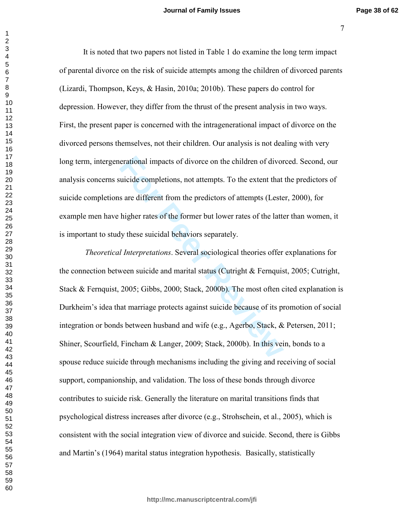,

It is noted that two papers not listed in Table 1 do examine the long term impact of parental divorce on the risk of suicide attempts among the children of divorced parents (Lizardi, Thompson, Keys, & Hasin, 2010a; 2010b). These papers do control for depression. However, they differ from the thrust of the present analysis in two ways. First, the present paper is concerned with the intragenerational impact of divorce on the divorced persons themselves, not their children. Our analysis is not dealing with very long term, intergenerational impacts of divorce on the children of divorced. Second, our analysis concerns suicide completions, not attempts. To the extent that the predictors of suicide completions are different from the predictors of attempts (Lester, 2000), for example men have higher rates of the former but lower rates of the latter than women, it is important to study these suicidal behaviors separately.

erational impacts of divorce on the children of divor<br>uicide completions, not attempts. To the extent that<br>s are different from the predictors of attempts (Leste<br>higher rates of the former but lower rates of the latte<br>ly t *Theoretical Interpretations.* Several sociological theories offer explanations for the connection between suicide and marital status (Cutright  $\&$  Fernquist, 2005; Cutright, Stack & Fernquist, ; Gibbs,  $2000$ ; Stack,  $2000$ b). The most often cited explanation is Durkheim's idea that marriage protects against suicide because of its promotion of social integration or bonds between husband and wife (e.g., Agerbo, Stack, & Petersen, 2011; Shiner, Scourfield, Fincham & Langer, 2009; Stack, 2000b). In this vein, bonds to a spouse reduce suicide through mechanisms including the giving and receiving of social support, companionship, and validation. The loss of these bonds through divorce contributes to suicide risk. Generally the literature on marital transitions finds that psychological distress increases after divorce (e.g., Strohschein, et al., 2005), which is consistent with the social integration view of divorce and suicide. Second, there is Gibbs and Martin's (1964) marital status integration hypothesis. Basically, statistically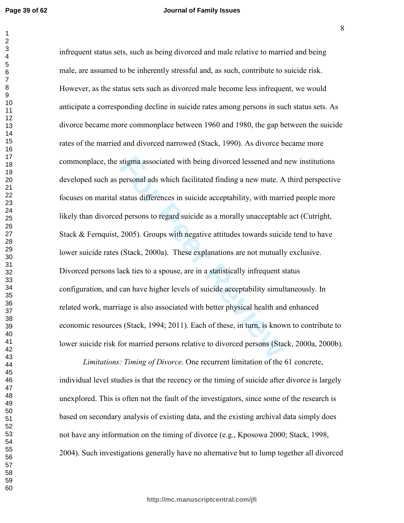**Page 39 of 62**

#### **Journal of Family Issues**

stigma associated with being divorced lessened and<br>personal ads which facilitated finding a new mate. A<br>status differences in suicide acceptability, with marr<br>d persons to regard suicide as a morally unacceptabl<br>2005). Gro infrequent status sets, such as being divorced and male relative to married and being male, are assumed to be inherently stressful and, as such, contribute to suicide risk. However, as the status sets such as divorced male become less infrequent, we would anticipate a corresponding decline in suicide rates among persons in such status sets. As divorce became more commonplace between 1960 and 1980, the gap between the suicide rates of the married and divorced narrowed (Stack, 1990). As divorce became more commonplace, the stigma associated with being divorced lessened and new institutions developed such as personal ads which facilitated finding a new mate. A third perspective focuses on marital status differences in suicide acceptability, with married people more likely than divorced persons to regard suicide as a morally unacceptable act (Cutright, Stack & Fernquist, 2005). Groups with negative attitudes towards suicide tend to have lower suicide rates (Stack, 2000a). These explanations are not mutually exclusive. Divorced persons lack ties to a spouse, are in a statistically infrequent status configuration, and can have higher levels of suicide acceptability simultaneously. In related work, marriage is also associated with better physical health and enhanced economic resources (Stack, 1994; 2011). Each of these, in turn, is known to contribute to lower suicide risk for married persons relative to divorced persons (Stack, 2000a, 2000b).

*Limitations: Timing of Divorce.* One recurrent limitation of the 61 concrete, individual level studies is that the recency or the timing of suicide after divorce is largely unexplored. This is often not the fault of the investigators, since some of the research is based on secondary analysis of existing data, and the existing archival data simply does not have any information on the timing of divorce (e.g., Kposowa 2000; Stack, 1998, 2004). Such investigations generally have no alternative but to lump together all divorced

\*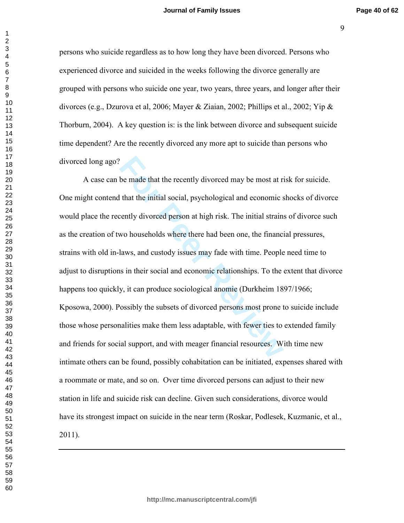persons who suicide regardless as to how long they have been divorced. Persons who experienced divorce and suicided in the weeks following the divorce generally are grouped with persons who suicide one year, two years, three years, and longer after their divorces (e.g., Dzurova et al, 2006; Mayer & Ziaian, 2002; Phillips et al., 2002; Yip & Thorburn, 2004). A key question is: is the link between divorce and subsequent suicide time dependent? Are the recently divorced any more apt to suicide than persons who divorced long ago?

be made that the recently divorced may be most at rive that the initial social, psychological and economic seently divorced person at high risk. The initial strains wo households where there had been one, the financial aws A case can be made that the recently divorced may be most at risk for suicide. One might contend that the initial social, psychological and economic shocks of divorce would place the recently divorced person at high risk. The initial strains of divorce such as the creation of two households where there had been one, the financial pressures, strains with old in-laws, and custody issues may fade with time. People need time to adjust to disruptions in their social and economic relationships. To the extent that divorce happens too quickly, it can produce sociological anomie (Durkheim 1897/1966; Kposowa, 2000). Possibly the subsets of divorced persons most prone to suicide include those whose personalities make them less adaptable, with fewer ties to extended family and friends for social support, and with meager financial resources. With time new intimate others can be found, possibly cohabitation can be initiated, expenses shared with a roommate or mate, and so on. Over time divorced persons can adjust to their new station in life and suicide risk can decline. Given such considerations, divorce would have its strongest impact on suicide in the near term (Roskar, Podlesek, Kuzmanic, et al., 2011).

 $\mathbf{1}$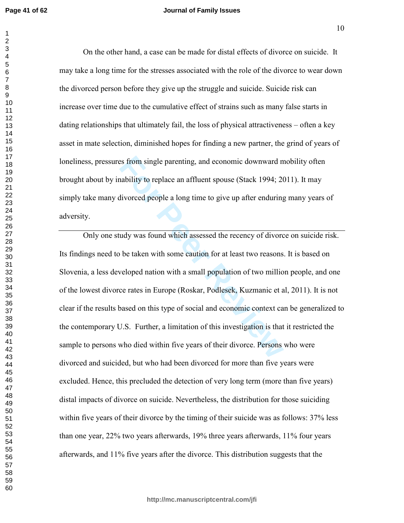#### **Journal of Family Issues**

On the other hand, a case can be made for distal effects of divorce on suicide. It may take a long time for the stresses associated with the role of the divorce to wear down the divorced person before they give up the struggle and suicide. Suicide risk can increase over time due to the cumulative effect of strains such as many false starts in dating relationships that ultimately fail, the loss of physical attractiveness – often a key asset in mate selection, diminished hopes for finding a new partner, the grind of years of loneliness, pressures from single parenting, and economic downward mobility often brought about by inability to replace an affluent spouse (Stack 1994; 2011). It may simply take many divorced people a long time to give up after enduring many years of adversity.

Example parenting, and economic downward mability to replace an affluent spouse (Stack 1994; 20<br>divorced people a long time to give up after enduring<br>udy was found which assessed the recency of divorce<br>be taken with some c Only one study was found which assessed the recency of divorce on suicide risk. Its findings need to be taken with some caution for at least two reasons. It is based on Slovenia, a less developed nation with a small population of two million people, and one of the lowest divorce rates in Europe (Roskar, Podlesek, Kuzmanic et al, 2011). It is not clear if the results based on this type of social and economic context can be generalized to the contemporary U.S. Further, a limitation of this investigation is that it restricted the sample to persons who died within five years of their divorce. Persons who were divorced and suicided, but who had been divorced for more than five years were excluded. Hence, this precluded the detection of very long term (more than five years) distal impacts of divorce on suicide. Nevertheless, the distribution for those suiciding within five years of their divorce by the timing of their suicide was as follows: 37% less than one year, 22% two years afterwards, 19% three years afterwards, 11% four years afterwards, and 11% five years after the divorce. This distribution suggests that the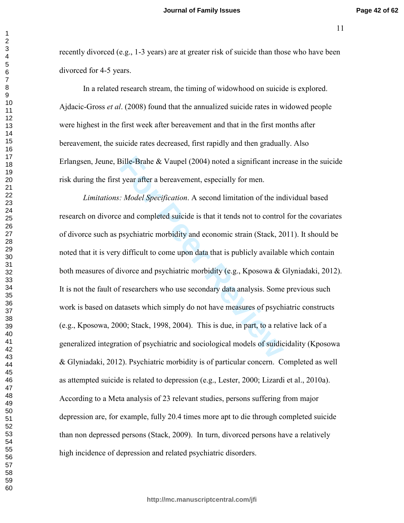recently divorced (e.g., 1-3 years) are at greater risk of suicide than those who have been divorced for 4-5 years.

In a related research stream, the timing of widowhood on suicide is explored. Ajdacic-Gross *et al.* (2008) found that the annualized suicide rates in widowed people were highest in the first week after bereavement and that in the first months after bereavement, the suicide rates decreased, first rapidly and then gradually. Also Erlangsen, Jeune, Bille-Brahe & Vaupel  $(2004)$  noted a significant increase in the suicide risk during the first year after a bereavement, especially for men.

Bille-Brahe & Vaupel (2004) noted a significant incr<br>
Figure 1: Model Specification. A second limitation of the inc<br>
For Peer Reviewent, especially for men.<br>
For Peer Reviewent A second limitation of the inc<br>
and complete *Limitations: Model Specification.* A second limitation of the individual based research on divorce and completed suicide is that it tends not to control for the covariates of divorce such as psychiatric morbidity and economic strain (Stack, 2011). It should be noted that it is very difficult to come upon data that is publicly available which contain both measures of divorce and psychiatric morbidity (e.g., Kposowa & Glyniadaki, 2012). It is not the fault of researchers who use secondary data analysis. Some previous such work is based on datasets which simply do not have measures of psychiatric constructs (e.g., Kposowa, 2000; Stack, 1998, 2004). This is due, in part, to a relative lack of a generalized integration of psychiatric and sociological models of suidicidality (Kposowa & Glyniadaki, 2012). Psychiatric morbidity is of particular concern. Completed as well as attempted suicide is related to depression  $(e.g., Lester, 2000; Lizardi et al., 2010a)$ . According to a Meta analysis of 23 relevant studies, persons suffering from major depression are, for example, fully 20.4 times more apt to die through completed suicide than non depressed persons (Stack, 2009). In turn, divorced persons have a relatively high incidence of depression and related psychiatric disorders.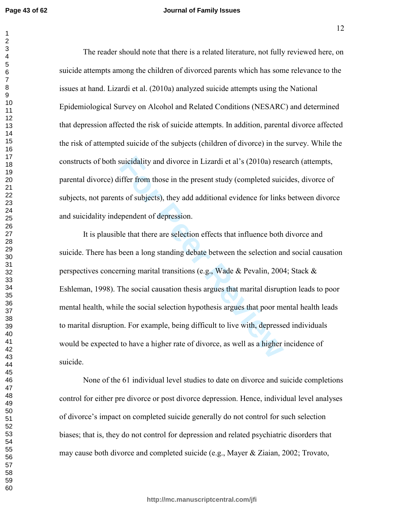#### **Journal of Family Issues**

The reader should note that there is a related literature, not fully reviewed here, on suicide attempts among the children of divorced parents which has some relevance to the issues at hand. Lizardi et al. (2010a) analyzed suicide attempts using the National Epidemiological Survey on Alcohol and Related Conditions (NESARC) and determined that depression affected the risk of suicide attempts. In addition, parental divorce affected the risk of attempted suicide of the subjects (children of divorce) in the survey. While the constructs of both suicidality and divorce in Lizardi et al's (2010a) research (attempts, parental divorce) differ from those in the present study (completed suicides, divorce of subjects, not parents of subjects), they add additional evidence for links between divorce and suicidality independent of depression.

suicidality and divorce in Lizardi et al's (2010a) reservation<br>iffer from those in the present study (completed suicasts of subjects), they add additional evidence for links<br>ependent of depression.<br>le that there are select It is plausible that there are selection effects that influence both divorce and suicide. There has been a long standing debate between the selection and social causation perspectives concerning marital transitions (e.g., Wade & Pevalin, 2004; Stack & Eshleman, 1998). The social causation thesis argues that marital disruption leads to poor mental health, while the social selection hypothesis argues that poor mental health leads to marital disruption. For example, being difficult to live with, depressed individuals would be expected to have a higher rate of divorce, as well as a higher incidence of suicide.

None of the 61 individual level studies to date on divorce and suicide completions control for either pre divorce or post divorce depression. Hence, individual level analyses of divorce's impact on completed suicide generally do not control for such selection biases; that is, they do not control for depression and related psychiatric disorders that may cause both divorce and completed suicide (e.g., Mayer & Ziaian, 2002; Trovato,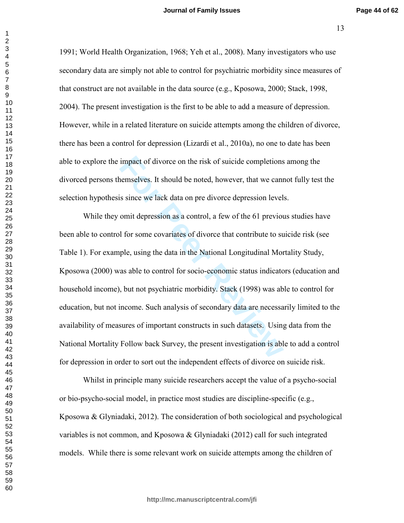1991; World Health Organization, 1968; Yeh et al., 2008). Many investigators who use secondary data are simply not able to control for psychiatric morbidity since measures of that construct are not available in the data source (e.g., Kposowa, 2000; Stack, 1998, 2004). The present investigation is the first to be able to add a measure of depression. However, while in a related literature on suicide attempts among the children of divorce, there has been a control for depression (Lizardi et al., 2010a), no one to date has been able to explore the impact of divorce on the risk of suicide completions among the divorced persons themselves. It should be noted, however, that we cannot fully test the selection hypothesis since we lack data on pre divorce depression levels.

While they omit depression as a control, a few of the 61 previous studies have been able to control for some covariates of divorce that contribute to suicide risk (see Table 1). For example, using the data in the National Longitudinal Mortality Study, Kposowa (2000) was able to control for socio-economic status indicators (education and household income), but not psychiatric morbidity. Stack (1998) was able to control for education, but not income. Such analysis of secondary data are necessarily limited to the availability of measures of important constructs in such datasets. Using data from the National Mortality Follow back Survey, the present investigation is able to add a control for depression in order to sort out the independent effects of divorce on suicide risk.

Whilst in principle many suicide researchers accept the value of a psycho-social or bio-psycho-social model, in practice most studies are discipline-specific  $(e.g.,)$ Kposowa & Glyniadaki, 2012). The consideration of both sociological and psychological variables is not common, and Kposowa & Glyniadaki (2012) call for such integrated models. While there is some relevant work on suicide attempts among the children of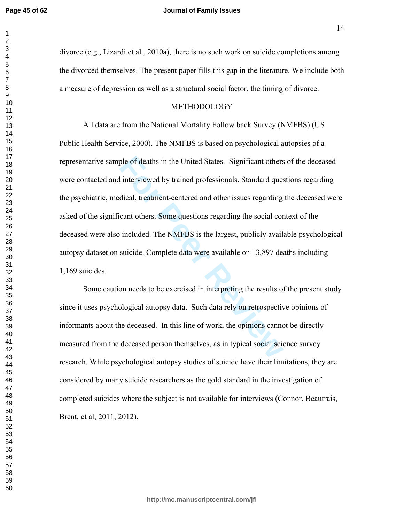#### **Journal of Family Issues**

divorce (e.g., Lizardi et al., 2010a), there is no such work on suicide completions among the divorced themselves. The present paper fills this gap in the literature. We include both a measure of depression as well as a structural social factor, the timing of divorce.

#### METHODOLOGY

ple of deaths in the United States. Significant others<br>interviewed by trained professionals. Standard ques<br>dical, treatment-centered and other issues regarding<br>cant others. Some questions regarding the social cor<br>included. All data are from the National Mortality Follow back Survey (NMFBS) (US Public Health Service, 2000). The NMFBS is based on psychological autopsies of a representative sample of deaths in the United States. Significant others of the deceased were contacted and interviewed by trained professionals. Standard questions regarding the psychiatric, medical, treatment-centered and other issues regarding the deceased were asked of the significant others. Some questions regarding the social context of the deceased were also included. The NMFBS is the largest, publicly available psychological autopsy dataset on suicide. Complete data were available on 13,897 deaths including  $1,169$  suicides.

Some caution needs to be exercised in interpreting the results of the present study since it uses psychological autopsy data. Such data rely on retrospective opinions of informants about the deceased. In this line of work, the opinions cannot be directly measured from the deceased person themselves, as in typical social science survey research. While psychological autopsy studies of suicide have their limitations, they are considered by many suicide researchers as the gold standard in the investigation of completed suicides where the subject is not available for interviews (Connor, Beautrais, Brent, et al, 2011, 2012).

**http://mc.manuscriptcentral.com/jfi**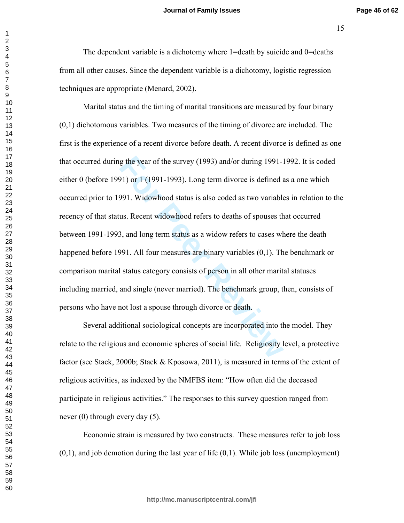-E

The dependent variable is a dichotomy where =death by suicide and  $0$ =deaths from all other causes. Since the dependent variable is a dichotomy, logistic regression techniques are appropriate (Menard, 2002).

g the year of the survey (1993) and/or during 1991-1<br> **For Property 1993**). Long term divorce is defined a<br> **For Property 1993**). Long term divorce is defined a<br> **For Property in Solution** is also coded as two variable<br> **F** Marital status and the timing of marital transitions are measured by four binary  $(0,1)$  dichotomous variables. Two measures of the timing of divorce are included. The first is the experience of a recent divorce before death. A recent divorce is defined as one that occurred during the year of the survey  $(1993)$  and/or during 1991-1992. It is coded either 0 (before 1991) or 1 (1991-1993). Long term divorce is defined as a one which occurred prior to 1991. Widowhood status is also coded as two variables in relation to the recency of that status. Recent widowhood refers to deaths of spouses that occurred between 1991-1993, and long term status as a widow refers to cases where the death happened before 1991. All four measures are binary variables  $(0,1)$ . The benchmark or comparison marital status category consists of person in all other marital statuses including married, and single (never married). The benchmark group, then, consists of persons who have not lost a spouse through divorce or death.

Several additional sociological concepts are incorporated into the model. They relate to the religious and economic spheres of social life. Religiosity level, a protective factor (see Stack, 2000b; Stack & Kposowa, 2011), is measured in terms of the extent of religious activities, as indexed by the NMFBS item: "How often did the deceased participate in religious activities." The responses to this survey question ranged from never  $(0)$  through every day  $(5)$ .

Economic strain is measured by two constructs. These measures refer to job loss  $(0,1)$ , and job demotion during the last year of life  $(0,1)$ . While job loss (unemployment)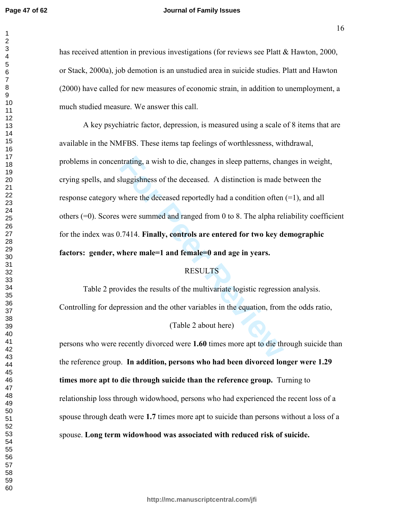#### **Journal of Family Issues**

has received attention in previous investigations (for reviews see Platt  $&$  Hawton, 2000, or Stack, 2000a), job demotion is an unstudied area in suicide studies. Platt and Hawton (2000) have called for new measures of economic strain, in addition to unemployment, a much studied measure. We answer this call.

trating, a wish to die, changes in sleep patterns, cha<br>
lluggishness of the deceased. A distinction is made l<br>
where the deceased reportedly had a condition often<br>
were summed and ranged from 0 to 8. The alpha rel<br>
1.7414. A key psychiatric factor, depression, is measured using a scale of 8 items that are available in the NMFBS. These items tap feelings of worthlessness, withdrawal, problems in concentrating, a wish to die, changes in sleep patterns, changes in weight, crying spells, and sluggishness of the deceased. A distinction is made between the response category where the deceased reportedly had a condition often  $(=1)$ , and all others  $(=0)$ . Scores were summed and ranged from 0 to 8. The alpha reliability coefficient for the index was 0.7414. Finally, controls are entered for two key demographic **factors:** gender, where male=1 and female=0 and age in years.

# **RESULTS**

Table 2 provides the results of the multivariate logistic regression analysis. Controlling for depression and the other variables in the equation, from the odds ratio,

# (Table 2 about here)

persons who were recently divorced were 1.60 times more apt to die through suicide than the reference group. In addition, persons who had been divorced longer were 1.29 fimes more apt to die through suicide than the reference group. Turning to relationship loss through widowhood, persons who had experienced the recent loss of a spouse through death were 1.7 times more apt to suicide than persons without a loss of a spouse. Long term widowhood was associated with reduced risk of suicide.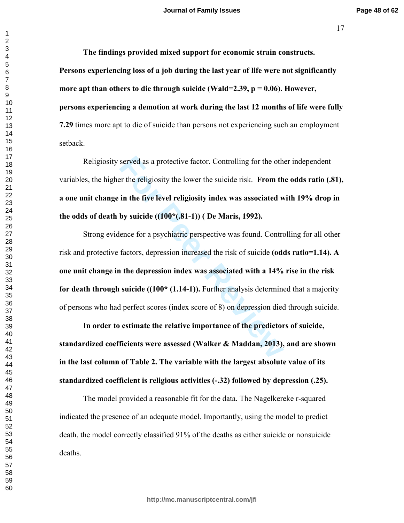<sup>17</sup>

The findings provided mixed support for economic strain constructs. Persons experiencing loss of a job during the last year of life were not significantly more apt than others to die through suicide (Wald=2.39,  $p = 0.06$ ). However, persons experiencing a demotion at work during the last 12 months of life were fully **7.29** times more apt to die of suicide than persons not experiencing such an employment setback.

Religiosity served as a protective factor. Controlling for the other independent variables, the higher the religiosity the lower the suicide risk. From the odds ratio (.81), a one unit change in the five level religiosity index was associated with 19% drop in **the odds of death by suicide ((100\*(.81-1)) ( De Maris, 1992).** 

served as a protective factor. Controlling for the other the religiosity the lower the suicide risk. **From the in the five level religiosity index was associated with space (100<sup>\*</sup>(.81-1)) (De Maris, 1992). ence for a psy** Strong evidence for a psychiatric perspective was found. Controlling for all other risk and protective factors, depression increased the risk of suicide (odds ratio=1.14). A one unit change in the depression index was associated with a 14% rise in the risk **for death through suicide ((100\* (1.14-1)). Further analysis determined that a majority** of persons who had perfect scores (index score of 8) on depression died through suicide.

In order to estimate the relative importance of the predictors of suicide, standardized coefficients were assessed (Walker & Maddan, 2013), and are shown in the last column of Table 2. The variable with the largest absolute value of its **standardized coefficient is religious activities (-.32) followed by depression (.25).** 

The model provided a reasonable fit for the data. The Nagelkereke r-squared indicated the presence of an adequate model. Importantly, using the model to predict death, the model correctly classified 91% of the deaths as either suicide or nonsuicide deaths.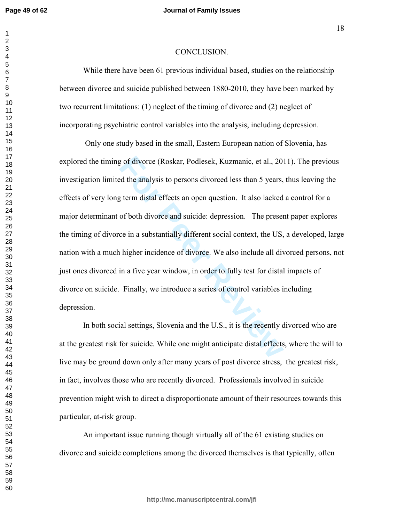#### **Journal of Family Issues**

#### CONCLUSION.

While there have been 61 previous individual based, studies on the relationship between divorce and suicide published between 1880-2010, they have been marked by two recurrent limitations: (1) neglect of the timing of divorce and (2) neglect of incorporating psychiatric control variables into the analysis, including depression.

If divorce (Roskar, Podlesek, Kuzmanic, et al., 20<br>
Ed the analysis to persons divorced less than 5 years,<br>
If term distal effects an open question. It also lacked<br>
of both divorce and suicide: depression. The presence in Only one study based in the small, Eastern European nation of Slovenia, has explored the timing of divorce (Roskar, Podlesek, Kuzmanic, et al., 2011). The previous investigation limited the analysis to persons divorced less than 5 years, thus leaving the effects of very long term distal effects an open question. It also lacked a control for a major determinant of both divorce and suicide: depression. The present paper explores the timing of divorce in a substantially different social context, the US, a developed, large nation with a much higher incidence of divorce. We also include all divorced persons, not just ones divorced in a five year window, in order to fully test for distal impacts of divorce on suicide. Finally, we introduce a series of control variables including depression.

In both social settings, Slovenia and the U.S., it is the recently divorced who are at the greatest risk for suicide. While one might anticipate distal effects, where the will to live may be ground down only after many years of post divorce stress, the greatest risk, in fact, involves those who are recently divorced. Professionals involved in suicide prevention might wish to direct a disproportionate amount of their resources towards this particular, at-risk group.

An important issue running though virtually all of the 61 existing studies on divorce and suicide completions among the divorced themselves is that typically, often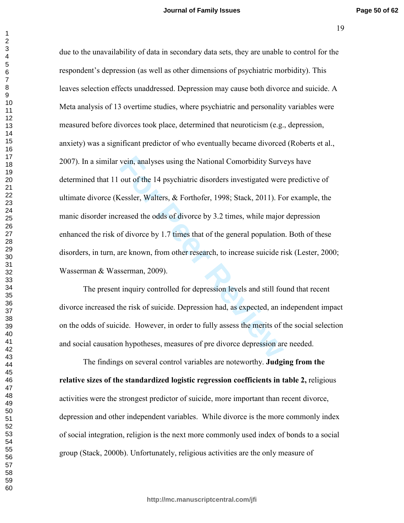vein, analyses using the National Comorbidity Surver out of the 14 psychiatric disorders investigated were<br> **Example 14 constant A** experiment in Figures, Stack, 2011). For<br> **For Peer Reviewald Example 1988**, Stack, 2011). due to the unavailability of data in secondary data sets, they are unable to control for the respondent's depression (as well as other dimensions of psychiatric morbidity). This leaves selection effects unaddressed. Depression may cause both divorce and suicide. A Meta analysis of 13 overtime studies, where psychiatric and personality variables were measured before divorces took place, determined that neuroticism (e.g., depression, anxiety) was a significant predictor of who eventually became divorced (Roberts et al., 2007). In a similar vein, analyses using the National Comorbidity Surveys have determined that 11 out of the 14 psychiatric disorders investigated were predictive of ultimate divorce (Kessler, Walters, & Forthofer, 1998; Stack, 2011). For example, the manic disorder increased the odds of divorce by 3.2 times, while major depression enhanced the risk of divorce by 1.7 times that of the general population. Both of these disorders, in turn, are known, from other research, to increase suicide risk (Lester, 2000; Wasserman & Wasserman, 2009).

The present inquiry controlled for depression levels and still found that recent divorce increased the risk of suicide. Depression had, as expected, an independent impact on the odds of suicide. However, in order to fully assess the merits of the social selection and social causation hypotheses, measures of pre divorce depression are needed.

The findings on several control variables are noteworthy. Judging from the relative sizes of the standardized logistic regression coefficients in table 2, religious activities were the strongest predictor of suicide, more important than recent divorce, depression and other independent variables. While divorce is the more commonly index of social integration, religion is the next more commonly used index of bonds to a social group (Stack, 2000b). Unfortunately, religious activities are the only measure of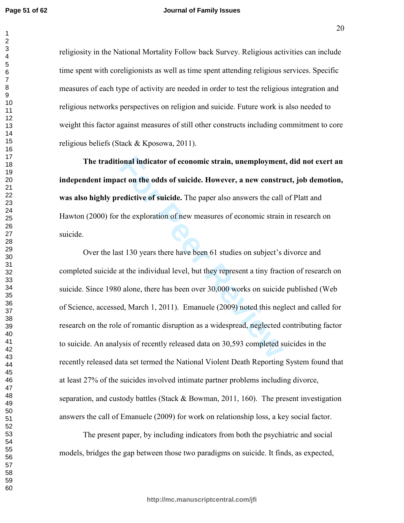$\mathbf{1}$ 

#### **Journal of Family Issues**

religiosity in the National Mortality Follow back Survey. Religious activities can include time spent with coreligionists as well as time spent attending religious services. Specific measures of each type of activity are needed in order to test the religious integration and religious networks perspectives on religion and suicide. Future work is also needed to weight this factor against measures of still other constructs including commitment to core religious beliefs (Stack & Kposowa, 2011).

The traditional indicator of economic strain, unemployment, did not exert an independent impact on the odds of suicide. However, a new construct, job demotion, was also highly predictive of suicide. The paper also answers the call of Platt and Hawton (2000) for the exploration of new measures of economic strain in research on suicide.

**Fourier Solution** and **Formal indicator of economic strain, unemployment**<br>**Formal interact of suicide.** However, a new constru-<br>**Edictive of suicide.** The paper also answers the call<br>the exploration of new measures of eco Over the last 130 years there have been 61 studies on subject's divorce and completed suicide at the individual level, but they represent a tiny fraction of research on suicide. Since 1980 alone, there has been over  $30,000$  works on suicide published (Web of Science, accessed, March 1, 2011). Emanuele (2009) noted this neglect and called for research on the role of romantic disruption as a widespread, neglected contributing factor to suicide. An analysis of recently released data on 30,593 completed suicides in the recently released data set termed the National Violent Death Reporting System found that at least 27% of the suicides involved intimate partner problems including divorce, separation, and custody battles (Stack  $\&$  Bowman, 2011, 160). The present investigation answers the call of Emanuele  $(2009)$  for work on relationship loss, a key social factor.

The present paper, by including indicators from both the psychiatric and social models, bridges the gap between those two paradigms on suicide. It finds, as expected,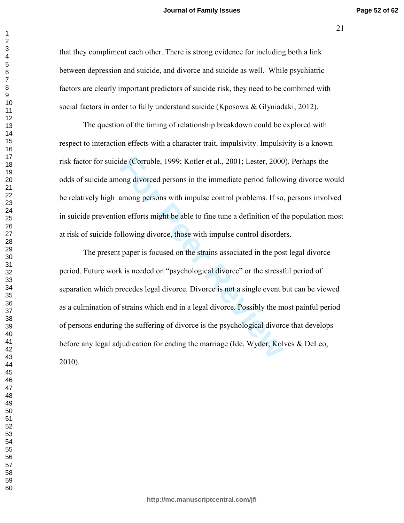that they compliment each other. There is strong evidence for including both a link between depression and suicide, and divorce and suicide as well. While psychiatric factors are clearly important predictors of suicide risk, they need to be combined with social factors in order to fully understand suicide (Kposowa & Glyniadaki, 2012).

The question of the timing of relationship breakdown could be explored with respect to interaction effects with a character trait, impulsivity. Impulsivity is a known risk factor for suicide (Corruble, 1999; Kotler et al., 2001; Lester, 2000). Perhaps the odds of suicide among divorced persons in the immediate period following divorce would be relatively high among persons with impulse control problems. If so, persons involved in suicide prevention efforts might be able to fine tune a definition of the population most at risk of suicide following divorce, those with impulse control disorders.

de (Corruble, 1999; Kotler et al., 2001; Lester, 2000<br>ong divorced persons in the immediate period follow<br>among persons with impulse control problems. If so,<br>on efforts might be able to fine tune a definition of th<br>Illowin The present paper is focused on the strains associated in the post legal divorce period. Future work is needed on "psychological divorce" or the stressful period of separation which precedes legal divorce. Divorce is not a single event but can be viewed as a culmination of strains which end in a legal divorce. Possibly the most painful period of persons enduring the suffering of divorce is the psychological divorce that develops before any legal adjudication for ending the marriage (Ide, Wyder, Kolves & DeLeo, 2010).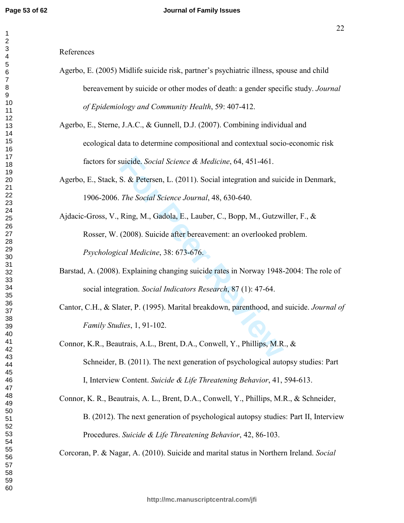#### $\mathbf 1$   $\overline{2}$  $\overline{7}$

References

- Agerbo, E. (2005) Midlife suicide risk, partner's psychiatric illness, spouse and child bereavement by suicide or other modes of death: a gender specific study. *Journal* of Epidemiology and Community Health, 59: 407-412.
- Agerbo, E., Sterne, J.A.C., & Gunnell, D.J. (2007). Combining individual and ecological data to determine compositional and contextual socio-economic risk factors for suicide. Social Science & Medicine, 64, 451-461.
- Agerbo, E., Stack, S. & Petersen, L. (2011). Social integration and suicide in Denmark, 1906-2006. The Social Science Journal, 48, 630-640.
- suicide. *Social Science & Medicine*, 64, 451-461.<br> **S. & Petersen, L.** (2011). Social integration and suic<br> *The Social Science Journal*, 48, 630-640.<br>
Ring, M., Gadola, E., Lauber, C., Bopp, M., Gutzwi<br>
(2008). Suicide a Ajdacic-Gross, V., Ring, M., Gadola, E., Lauber, C., Bopp, M., Gutzwiller, F., & Rosser, W. (2008). Suicide after bereavement: an overlooked problem. Psychological Medicine, 38: 673-676.
- Barstad, A. (2008). Explaining changing suicide rates in Norway 1948-2004: The role of social integration. Social Indicators Research, 87 (1): 47-64.
- Cantor, C.H., & Slater, P. (1995). Marital breakdown, parenthood, and suicide. *Journal of Family Studies*, 1, 91-102.
- Connor, K.R., Beautrais, A.L., Brent, D.A., Conwell, Y., Phillips, M.R., & Schneider, B. (2011). The next generation of psychological autopsy studies: Part I, Interview Content. Suicide & Life Threatening Behavior, 41, 594-613.

Connor, K. R., Beautrais, A. L., Brent, D.A., Conwell, Y., Phillips, M.R., & Schneider, B. (2012). The next generation of psychological autopsy studies: Part II, Interview Procedures. Suicide & Life Threatening Behavior, 42, 86-103.

Corcoran, P. & Nagar, A. (2010). Suicide and marital status in Northern Ireland. Social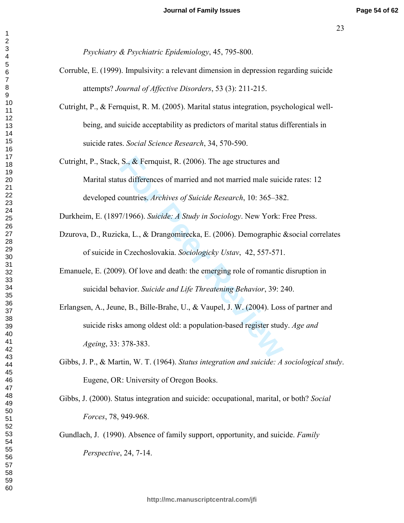*Psychiatry & Psychiatric Epidemiology, 45, 795-800.* 

- Corruble, E. (1999). Impulsivity: a relevant dimension in depression regarding suicide attempts? *Journal of Affective Disorders*, 53 (3): 211-215.
- Cutright, P., & Fernquist, R. M. (2005). Marital status integration, psychological wellbeing, and suicide acceptability as predictors of marital status differentials in suicide rates. *Social Science Research*, 34, 570-590.
- S., & Fernquist, R. (2006). The age structures and<br>us differences of married and not married male suici<br>countries. Archives of Suicide Research, 10: 365–38:<br>7/1966). Suicide: A Study in Sociology. New York: I<br>kka, L., & Dr Cutright, P., Stack, S.,  $\&$  Fernquist, R. (2006). The age structures and Marital status differences of married and not married male suicide rates: 12 developed countries. Archives of Suicide Research, 10: 365-382.

Durkheim, E. (1897/1966). Suicide: A Study in Sociology. New York: Free Press.

- Dzurova, D., Ruzicka, L., & Drangomirecka, E. (2006). Demographic &social correlates of suicide in Czechoslovakia. Sociologicky Ustav, 42, 557-571.
- Emanuele, E. (2009). Of love and death: the emerging role of romantic disruption in suicidal behavior. Suicide and Life Threatening Behavior, 39: 240.
- Erlangsen, A., Jeune, B., Bille-Brahe, U., & Vaupel, J. W.  $(2004)$ . Loss of partner and suicide risks among oldest old: a population-based register study. Age and *Ageing*, 33: 378-383.
- Gibbs, J. P., & Martin, W. T. (1964). Status integration and suicide: A sociological study. Eugene, OR: University of Oregon Books.
- Gibbs, J. (2000). Status integration and suicide: occupational, marital, or both? Social *Forces*, 78, 949-968.
- Gundlach, J. (1990). Absence of family support, opportunity, and suicide. *Family Perspective*, 24, 7-14.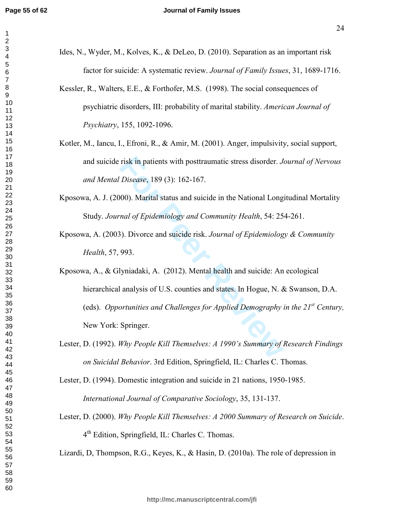- Ides, N., Wyder, M., Kolves, K., & DeLeo, D.  $(2010)$ . Separation as an important risk factor for suicide: A systematic review. *Journal of Family Issues*, 31, 1689-1716.
- Kessler, R., Walters, E.E., & Forthofer, M.S. (1998). The social consequences of psychiatric disorders, III: probability of marital stability. American Journal of *Psychiatry*, 155, 1092-1096.
- Kotler, M., Iancu, I., Efroni, R., & Amir, M. (2001). Anger, impulsivity, social support, and suicide risk in patients with posttraumatic stress disorder. Journal of Nervous *and Mental Disease*, 189 (3): 162-167.
- Kposowa, A. J. (2000). Marital status and suicide in the National Longitudinal Mortality Study. Journal of Epidemiology and Community Health, 54: 254-261.
- Kposowa, A. (2003). Divorce and suicide risk. Journal of Epidemiology & Community *Health*, 57, 993.
- risk in patients with posttraumatic stress disorder. *J.*<br>Disease, 189 (3): 162-167.<br>000). Marital status and suicide in the National Long<br>raal of Epidemiology and Community Health, 54: 25<br>3). Divorce and suicide risk. *Jo* Kposowa, A., & Glyniadaki, A. (2012). Mental health and suicide: An ecological hierarchical analysis of U.S. counties and states. In Hogue, N. & Swanson, D.A. (eds). Opportunities and Challenges for Applied Demography in the  $21^{st}$  Century, New York: Springer.
- Lester, D. (1992). Why People Kill Themselves: A 1990's Summary of Research Findings *on Suicidal Behavior.* 3rd Edition, Springfield, IL: Charles C. Thomas.

Lester, D. (1994). Domestic integration and suicide in 21 nations, 1950-1985.

International Journal of Comparative Sociology, 35, 131-137.

Lester, D. (2000). Why People Kill Themselves: A 2000 Summary of Research on Suicide. 4<sup>th</sup> Edition, Springfield, IL: Charles C. Thomas.

Lizardi, D, Thompson, R.G., Keyes, K., & Hasin, D. (2010a). The role of depression in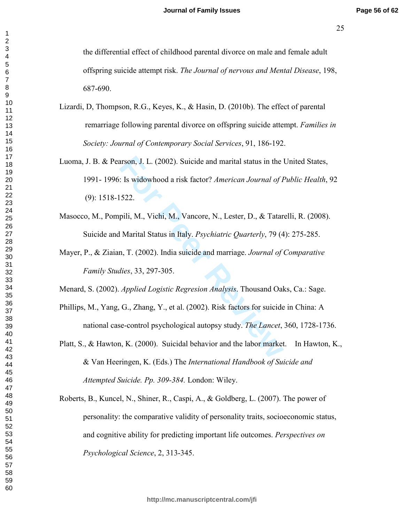the differential effect of childhood parental divorce on male and female adult offspring suicide attempt risk. The Journal of nervous and Mental Disease, 198, 687-690.

- Lizardi, D, Thompson, R.G., Keyes, K., & Hasin, D. (2010b). The effect of parental remarriage following parental divorce on offspring suicide attempt. *Families in Society: Journal of Contemporary Social Services, 91, 186-192.*
- arson, J. L. (2002). Suicide and marital status in the 1:<br> **Formula**: Is widowhood a risk factor? *American Journal of I*<br> **Formula**: M., Vichi, M., Vancore, N., Lester, D., & Tatar<br>
I Marital Status in Italy. *Psychiatric* Luoma, J. B. & Pearson, J. L. (2002). Suicide and marital status in the United States, 1991- 1996: Is widowhood a risk factor? American Journal of Public Health, 92  $(9)$ : 1518-1522.
- Masocco, M., Pompili, M., Vichi, M., Vancore, N., Lester, D., & Tatarelli, R. (2008). Suicide and Marital Status in Italy. *Psychiatric Quarterly*, 79 (4): 275-285.
- Mayer, P., & Ziaian, T. (2002). India suicide and marriage. Journal of Comparative *Family Studies*, 33, 297-305.
- Menard, S. (2002). *Applied Logistic Regresion Analysis*. Thousand Oaks, Ca.: Sage.
- Phillips, M., Yang, G., Zhang, Y., et al. (2002). Risk factors for suicide in China: A national case-control psychological autopsy study. The Lancet, 360, 1728-1736.
- Platt, S., & Hawton, K. (2000). Suicidal behavior and the labor market. In Hawton, K., & Van Heeringen, K. (Eds.) The *International Handbook of Suicide and Attempted Suicide. Pp. 309-384. London: Wiley.*
- Roberts, B., Kuncel, N., Shiner, R., Caspi, A., & Goldberg, L.  $(2007)$ . The power of personality: the comparative validity of personality traits, socioeconomic status, and cognitive ability for predicting important life outcomes. Perspectives on *Psychological Science*, 2, 313-345.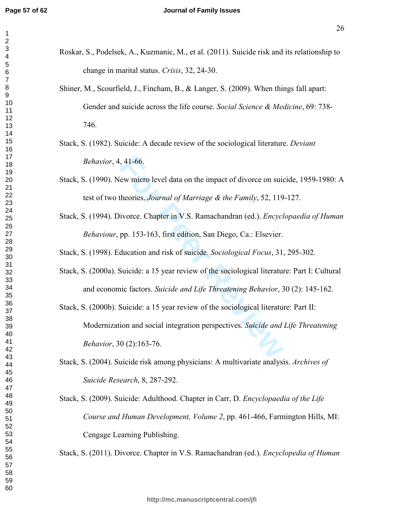#### **Journal of Family Issues**

- Roskar, S., Podelsek, A., Kuzmanic, M., et al. (2011). Suicide risk and its relationship to change in marital status. Crisis, 32, 24-30.
	- Shiner, M., Scourfield, J., Fincham, B., & Langer, S. (2009). When things fall apart: Gender and suicide across the life course. Social Science & Medicine, 69: 738-746.
	- Stack, S. (1982). Suicide: A decade review of the sociological literature. *Deviant Behavior*, 4, 41-66.
	- Stack, S. (1990). New micro level data on the impact of divorce on suicide, 1959-1980: A test of two theories. Journal of Marriage & the Family, 52, 119-127.
	- Stack, S. (1994). Divorce. Chapter in V.S. Ramachandran (ed.). *Encyclopaedia of Human Behaviour*, pp. 153-163, first edition, San Diego, Ca.: Elsevier.

Stack, S. (1998). Education and risk of suicide. Sociological Focus, 31, 295-302.

- Stack, S. (2000a). Suicide: a 15 year review of the sociological literature: Part I: Cultural and economic factors. Suicide and Life Threatening Behavior, 30 (2): 145-162.
- 41-66.<br>
Few micro level data on the impact of divorce on suid<br>
theories. *Journal of Marriage & the Family*, 52, 119<br>
ivorce. Chapter in V.S. Ramachandran (ed.). *Encycl*<br>
pp. 153-163, first edition, San Diego, Ca.: Elsevi Stack, S. (2000b). Suicide: a 15 year review of the sociological literature: Part II: Modernization and social integration perspectives. Suicide and Life Threatening *Behavior*, 30 (2):163-76.
- Stack, S. (2004). Suicide risk among physicians: A multivariate analysis. Archives of *Suicide Research, 8, 287-292.*
- Stack, S. (2009). Suicide: Adulthood. Chapter in Carr, D. *Encyclopaedia of the Life Course and Human Development, Volume 2, pp. 461-466, Farmington Hills, MI:* Cengage Learning Publishing.

Stack, S. (2011). Divorce. Chapter in V.S. Ramachandran (ed.). *Encyclopedia of Human*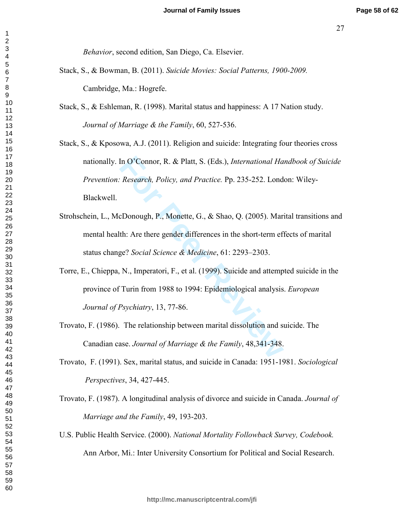Behavior, second edition, San Diego, Ca. Elsevier.

- Stack, S., & Bowman, B. (2011). Suicide Movies: Social Patterns, 1900-2009. Cambridge, Ma.: Hogrefe.
- Stack, S., & Eshleman, R. (1998). Marital status and happiness: A 17 Nation study. Journal of Marriage & the Family, 60, 527-536.

Stack, S., & Kposowa, A.J. (2011). Religion and suicide: Integrating four theories cross nationally. In O'Connor, R. & Platt, S. (Eds.), *International Handbook of Suicide* Prevention: Research, Policy, and Practice. Pp. 235-252. London: Wiley-Blackwell.

- Strohschein, L., McDonough, P., Monette, G., & Shao, Q. (2005). Marital transitions and mental health: Are there gender differences in the short-term effects of marital status change? Social Science & Medicine, 61: 2293-2303.
- Torre, E., Chieppa, N., Imperatori, F., et al. (1999). Suicide and attempted suicide in the province of Turin from 1988 to 1994: Epidemiological analysis. *European* Journal of Psychiatry, 13, 77-86.
- Trovato, F. (1986). The relationship between marital dissolution and suicide. The Canadian case. Journal of Marriage & the Family, 48,341-348.

Trovato, F. (1991). Sex, marital status, and suicide in Canada: 1951-1981. Sociological Perspectives, 34, 427-445.

- Trovato, F. (1987). A longitudinal analysis of divorce and suicide in Canada. Journal of Marriage and the Family, 49, 193-203.
- U.S. Public Health Service. (2000). National Mortality Followback Survey, Codebook. Ann Arbor, Mi.: Inter University Consortium for Political and Social Research.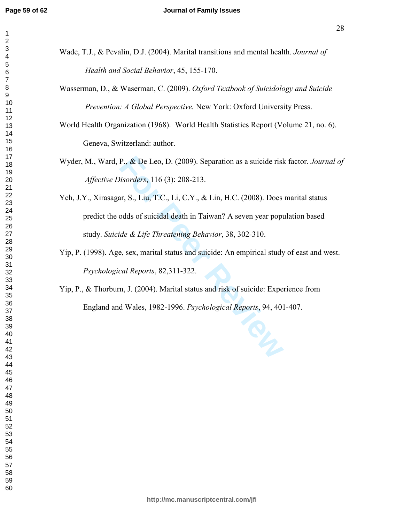#### **Journal of Family Issues**

- Wade, T.J., & Pevalin, D.J. (2004). Marital transitions and mental health. *Journal of Health and Social Behavior*, 45, 155-170.
- Wasserman, D., & Waserman, C. (2009). Oxford Textbook of Suicidology and Suicide *Prevention: A Global Perspective. New York: Oxford University Press.*
- World Health Organization (1968). World Health Statistics Report (Volume 21, no. 6). Geneva, Switzerland: author.
- Wyder, M., Ward, P., & De Leo, D. (2009). Separation as a suicide risk factor. Journal of *Affective Disorders*, 116 (3): 208-213.
- P., & De Leo, D. (2009). Separation as a suicide risk<br> *Hisorders*, 116 (3): 208-213.<br>
ar, S., Liu, T.C., Li, C.Y., & Lin, H.C. (2008). Does<br>
odds of suicidal death in Taiwan? A seven year popu<br>
ide & Life Threatening Beha Yeh, J.Y., Xirasagar, S., Liu, T.C., Li, C.Y., & Lin, H.C. (2008). Does marital status predict the odds of suicidal death in Taiwan? A seven year population based study. Suicide & Life Threatening Behavior, 38, 302-310.
- Yip, P. (1998). Age, sex, marital status and suicide: An empirical study of east and west. Psychological Reports, 82,311-322.
- $Y$ ip, P., & Thorburn, J. (2004). Marital status and risk of suicide: Experience from England and Wales, 1982-1996. *Psychological Reports*, 94, 401-407.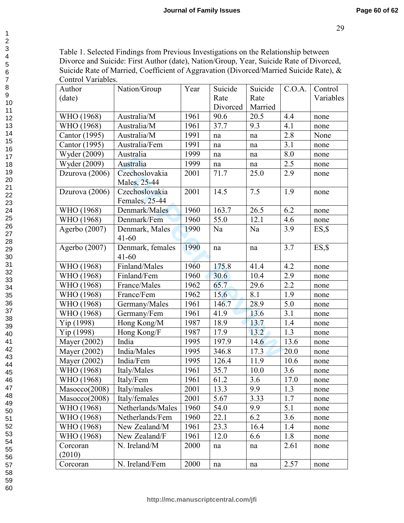Table 1. Selected Findings from Previous Investigations on the Relationship between Divorce and Suicide: First Author (date), Nation/Group, Year, Suicide Rate of Divorced, Suicide Rate of Married, Coefficient of Aggravation (Divorced/Married Suicide Rate), & Control Variables.

| Author          | Nation/Group                   | Year | Suicide  | Suicide             | C.O.A.   | Control   |
|-----------------|--------------------------------|------|----------|---------------------|----------|-----------|
| (date)          |                                |      | Rate     | Rate                |          | Variables |
|                 |                                |      | Divorced | Married             |          |           |
| WHO (1968)      | Australia/M                    | 1961 | 90.6     | 20.5                | 4.4      | none      |
| WHO (1968)      | Australia/M                    | 1961 | 37.7     | 9.3                 | 4.1      | none      |
| Cantor (1995)   | Australia/M                    | 1991 | na       | $\operatorname{na}$ | 2.8      | None      |
| Cantor (1995)   | Australia/Fem                  | 1991 | na       | na                  | 3.1      | none      |
| Wyder (2009)    | Australia                      | 1999 | na       | na                  | 8.0      | none      |
| Wyder (2009)    | Australia                      | 1999 | na       | na                  | 2.5      | none      |
| Dzurova (2006)  | Czechoslovakia<br>Males, 25-44 | 2001 | 71.7     | 25.0                | 2.9      | none      |
| Dzurova (2006)  | Czechoslovakia                 | 2001 | 14.5     | 7.5                 | 1.9      | none      |
|                 | Females, 25-44                 |      |          |                     |          |           |
| WHO (1968)      | Denmark/Males                  | 1960 | 163.7    | 26.5                | 6.2      | none      |
| WHO (1968)      | Denmark/Fem                    | 1960 | 55.0     | 12.1                | 4.6      | none      |
| Agerbo $(2007)$ | Denmark, Males<br>$41 - 60$    | 1990 | Na       | Na                  | 3.9      | ES, \$    |
| Agerbo (2007)   | Denmark, females<br>$41 - 60$  | 1990 | na       | na                  | 3.7      | $ES,$ \$  |
| WHO (1968)      | Finland/Males                  | 1960 | 175.8    | 41.4                | 4.2      | none      |
| WHO (1968)      | Finland/Fem                    | 1960 | 30.6     | 10.4                | 2.9      | none      |
| WHO (1968)      | France/Males                   | 1962 | 65.7     | 29.6                | 2.2      | none      |
| WHO (1968)      | France/Fem                     | 1962 | 15.6     | 8.1                 | 1.9      | none      |
| WHO (1968)      | Germany/Males                  | 1961 | 146.7    | 28.9                | 5.0      | none      |
| WHO (1968)      | Germany/Fem                    | 1961 | 41.9     | 13.6                | 3.1      | none      |
| Yip (1998)      | Hong Kong/M                    | 1987 | 18.9     | 13.7                | 1.4      | none      |
| Yip (1998)      | Hong Kong/F                    | 1987 | 17.9     | 13.2                | 1.3      | none      |
| Mayer (2002)    | India                          | 1995 | 197.9    | 14.6                | 13.6     | none      |
| Mayer (2002)    | India/Males                    | 1995 | 346.8    | 17.3                | 20.0     | none      |
| Mayer (2002)    | India/Fem                      | 1995 | 126.4    | 11.9                | 10.6     | none      |
| WHO (1968)      | Italy/Males                    | 1961 | 35.7     | 10.0                | 3.6      | none      |
| WHO (1968)      | Italy/Fem                      | 1961 | 61.2     | 3.6                 | $17.0\,$ | none      |
| Mascco(2008)    | Italy/males                    | 2001 | 13.3     | 9.9                 | 1.3      | none      |
| Mascco(2008)    | Italy/females                  | 2001 | 5.67     | 3.33                | 1.7      | none      |
| WHO (1968)      | Netherlands/Males              | 1960 | 54.0     | 9.9                 | 5.1      | none      |
| WHO (1968)      | Netherlands/Fem                | 1960 | 22.1     | 6.2                 | 3.6      | none      |
| WHO (1968)      | New Zealand/M                  | 1961 | 23.3     | 16.4                | 1.4      | none      |
| WHO (1968)      | New Zealand/F                  | 1961 | 12.0     | 6.6                 | 1.8      | none      |
| Corcoran        | N. Ireland/M                   | 2000 | na       | na                  | 2.61     | none      |
| (2010)          |                                |      |          |                     |          |           |
| Corcoran        | N. Ireland/Fem                 | 2000 | na       | na                  | 2.57     | none      |

 $\mathbf{1}$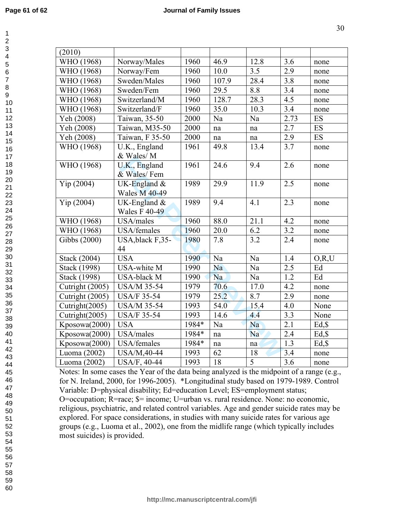| (2010)          |                              |       |       |                   |                  |           |
|-----------------|------------------------------|-------|-------|-------------------|------------------|-----------|
| WHO (1968)      | Norway/Males                 | 1960  | 46.9  | 12.8              | 3.6              | none      |
| WHO (1968)      | Norway/Fem                   | 1960  | 10.0  | 3.5               | 2.9              | none      |
| WHO (1968)      | Sweden/Males                 | 1960  | 107.9 | 28.4              | 3.8              | none      |
| WHO (1968)      | Sweden/Fem                   | 1960  | 29.5  | 8.8               | $\overline{3.4}$ | none      |
| WHO (1968)      | Switzerland/M                | 1960  | 128.7 | 28.3              | 4.5              | none      |
| WHO (1968)      | Switzerland/F                | 1960  | 35.0  | 10.3              | 3.4              | none      |
| Yeh (2008)      | Taiwan, 35-50                | 2000  | Na    | Na                | 2.73             | ES        |
| Yeh (2008)      | Taiwan, M35-50               | 2000  | na    | na                | 2.7              | <b>ES</b> |
| Yeh (2008)      | Taiwan, F 35-50              | 2000  | na    | na                | $\overline{2.9}$ | <b>ES</b> |
| WHO (1968)      | U.K., England                | 1961  | 49.8  | 13.4              | 3.7              | none      |
|                 | & Wales/M                    |       |       |                   |                  |           |
| WHO (1968)      | U.K., England<br>& Wales/Fem | 1961  | 24.6  | 9.4               | 2.6              | none      |
| Yip(2004)       | UK-England $&$               | 1989  | 29.9  | 11.9              | 2.5              | none      |
|                 | <b>Wales M 40-49</b>         |       |       |                   |                  |           |
| Yip(2004)       | UK-England $&$               | 1989  | 9.4   | 4.1               | 2.3              | none      |
|                 | <b>Wales F 40-49</b>         |       |       |                   |                  |           |
| WHO (1968)      | USA/males                    | 1960  | 88.0  | $21.\overline{1}$ | 4.2              | none      |
| WHO (1968)      | USA/females                  | 1960  | 20.0  | 6.2               | 3.2              | none      |
| Gibbs (2000)    | USA, black F, 35-            | 1980  | 7.8   | 3.2               | 2.4              | none      |
|                 | 44                           |       |       |                   |                  |           |
| Stack (2004)    | <b>USA</b>                   | 1990  | Na    | Na                | 1.4              | O, R, U   |
| Stack (1998)    | USA-white M                  | 1990  | Na    | Na                | 2.5              | Ed        |
| Stack (1998)    | USA-black M                  | 1990  | Na    | Na                | 1.2              | Ed        |
| Cutright (2005) | <b>USA/M 35-54</b>           | 1979  | 70.6  | 17.0              | 4.2              | none      |
| Cutright (2005) | <b>USA/F 35-54</b>           | 1979  | 25.2  | 8.7               | 2.9              | none      |
| Cutright(2005)  | <b>USA/M 35-54</b>           | 1993  | 54.0  | 15.4              | 4.0              | None      |
| Cutright(2005)  | <b>USA/F 35-54</b>           | 1993  | 14.6  | 4.4               | 3.3              | None      |
| Kposowa(2000)   | <b>USA</b>                   | 1984* | Na    | Na                | $\overline{2.1}$ | $Ed,$ \$  |
| Kposowa(2000)   | USA/males                    | 1984* | na    | Na                | 2.4              | Ed, \$    |
| Kposowa(2000)   | USA/females                  | 1984* | na    | na                | 1.3              | $Ed,$ \$  |
| Luoma (2002)    | USA/M, 40-44                 | 1993  | 62    | 18                | 3.4              | none      |
| Luoma (2002)    | <b>USA/F, 40-44</b>          | 1993  | 18    | $\overline{5}$    | 3.6              | none      |

Notes: In some cases the Year of the data being analyzed is the midpoint of a range (e.g., for N. Ireland, 2000, for 1996-2005). \*Longitudinal study based on 1979-1989. Control Variable: D=physical disability; Ed=education Level; ES=employment status; O=occupation; R=race; \$= income; U=urban vs. rural residence. None: no economic, religious, psychiatric, and related control variables. Age and gender suicide rates may be explored. For space considerations, in studies with many suicide rates for various age groups (e.g., Luoma et al., 2002), one from the midlife range (which typically includes most suicides) is provided.